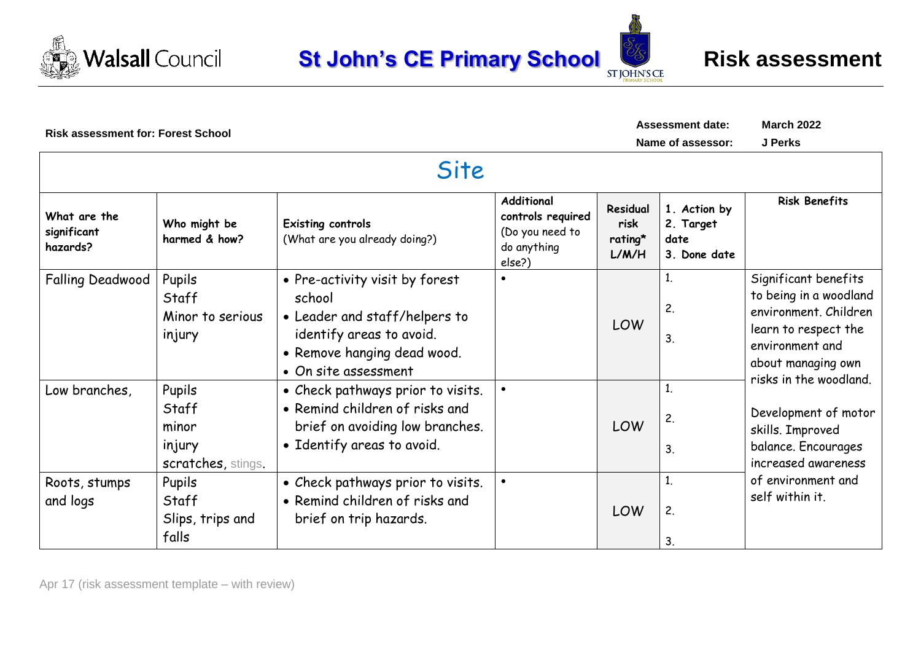



|                                         | <b>Risk assessment for: Forest School</b>                |                                                                                                                                                              |                                                                                    |                                      |                                                   | <b>March 2022</b><br>J Perks                                                                                                                                       |  |  |  |
|-----------------------------------------|----------------------------------------------------------|--------------------------------------------------------------------------------------------------------------------------------------------------------------|------------------------------------------------------------------------------------|--------------------------------------|---------------------------------------------------|--------------------------------------------------------------------------------------------------------------------------------------------------------------------|--|--|--|
|                                         | Site                                                     |                                                                                                                                                              |                                                                                    |                                      |                                                   |                                                                                                                                                                    |  |  |  |
| What are the<br>significant<br>hazards? | Who might be<br>harmed & how?                            | Existing controls<br>(What are you already doing?)                                                                                                           | <b>Additional</b><br>controls required<br>(Do you need to<br>do anything<br>else?) | Residual<br>risk<br>rating*<br>L/M/H | 1. Action by<br>2. Target<br>date<br>3. Done date | <b>Risk Benefits</b>                                                                                                                                               |  |  |  |
| <b>Falling Deadwood</b>                 | Pupils<br>Staff<br>Minor to serious<br>injury            | • Pre-activity visit by forest<br>school<br>• Leader and staff/helpers to<br>identify areas to avoid.<br>• Remove hanging dead wood.<br>• On site assessment | $\bullet$                                                                          | LOW                                  | 1.<br>2.<br>3.                                    | Significant benefits<br>to being in a woodland<br>environment. Children<br>learn to respect the<br>environment and<br>about managing own<br>risks in the woodland. |  |  |  |
| Low branches,                           | Pupils<br>Staff<br>minor<br>injury<br>scratches, stings. | • Check pathways prior to visits.<br>• Remind children of risks and<br>brief on avoiding low branches.<br>• Identify areas to avoid.                         | $\bullet$                                                                          | LOW                                  | 1.<br>2.<br>3.                                    | Development of motor<br>skills. Improved<br>balance. Encourages<br>increased awareness                                                                             |  |  |  |
| Roots, stumps<br>and logs               | Pupils<br>Staff<br>Slips, trips and<br>falls             | • Check pathways prior to visits.<br>• Remind children of risks and<br>brief on trip hazards.                                                                | $\bullet$                                                                          | LOW                                  | 1.<br>2.<br>3.                                    | of environment and<br>self within it.                                                                                                                              |  |  |  |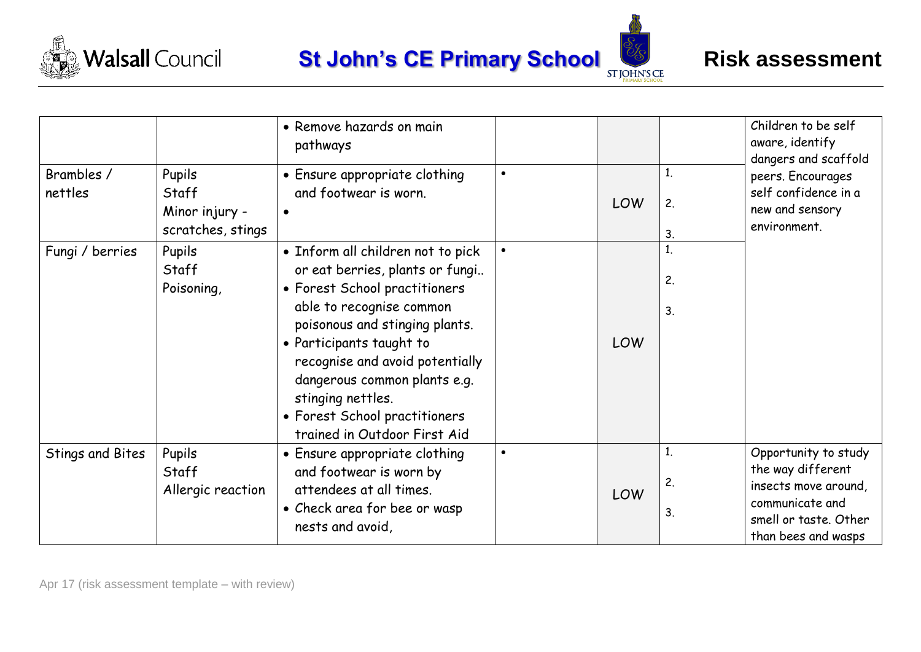





| Brambles /<br>nettles | Pupils<br>Staff<br>Minor injury -<br>scratches, stings | • Remove hazards on main<br>pathways<br>• Ensure appropriate clothing<br>and footwear is worn.                                                                                                                                                                                                                                                           | $\bullet$ | LOW | 1.<br>2.<br>3. | Children to be self<br>aware, identify<br>dangers and scaffold<br>peers. Encourages<br>self confidence in a<br>new and sensory<br>environment. |
|-----------------------|--------------------------------------------------------|----------------------------------------------------------------------------------------------------------------------------------------------------------------------------------------------------------------------------------------------------------------------------------------------------------------------------------------------------------|-----------|-----|----------------|------------------------------------------------------------------------------------------------------------------------------------------------|
| Fungi / berries       | Pupils<br>Staff<br>Poisoning,                          | • Inform all children not to pick<br>or eat berries, plants or fungi<br>• Forest School practitioners<br>able to recognise common<br>poisonous and stinging plants.<br>• Participants taught to<br>recognise and avoid potentially<br>dangerous common plants e.g.<br>stinging nettles.<br>• Forest School practitioners<br>trained in Outdoor First Aid |           | LOW | 1.<br>2.<br>3. |                                                                                                                                                |
| Stings and Bites      | Pupils<br>Staff<br>Allergic reaction                   | • Ensure appropriate clothing<br>and footwear is worn by<br>attendees at all times.<br>• Check area for bee or wasp<br>nests and avoid,                                                                                                                                                                                                                  | $\bullet$ | LOW | 1.<br>2.<br>3. | Opportunity to study<br>the way different<br>insects move around,<br>communicate and<br>smell or taste. Other<br>than bees and wasps           |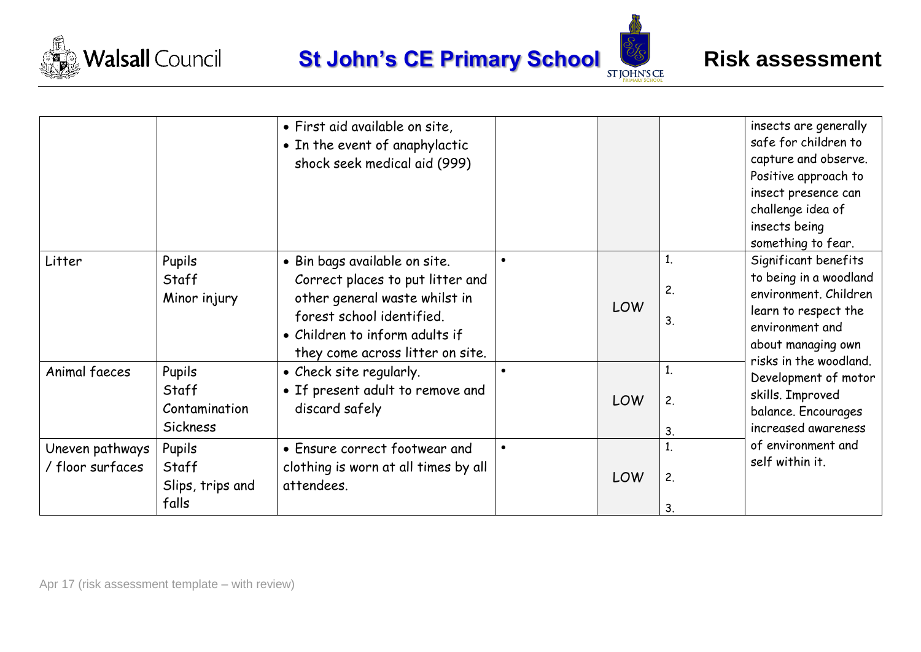





|                                     |                                                     | · First aid available on site,<br>• In the event of anaphylactic<br>shock seek medical aid (999)                                                                                                      |           |            |                | insects are generally<br>safe for children to<br>capture and observe.<br>Positive approach to<br>insect presence can<br>challenge idea of<br>insects being                                                                                                   |
|-------------------------------------|-----------------------------------------------------|-------------------------------------------------------------------------------------------------------------------------------------------------------------------------------------------------------|-----------|------------|----------------|--------------------------------------------------------------------------------------------------------------------------------------------------------------------------------------------------------------------------------------------------------------|
|                                     |                                                     |                                                                                                                                                                                                       |           |            |                | something to fear.                                                                                                                                                                                                                                           |
| Litter                              | Pupils<br>Staff<br>Minor injury                     | · Bin bags available on site.<br>Correct places to put litter and<br>other general waste whilst in<br>forest school identified.<br>• Children to inform adults if<br>they come across litter on site. |           | <b>LOW</b> | 1.<br>2.<br>3. | Significant benefits<br>to being in a woodland<br>environment. Children<br>learn to respect the<br>environment and<br>about managing own<br>risks in the woodland.<br>Development of motor<br>skills. Improved<br>balance. Encourages<br>increased awareness |
| Animal faeces                       | Pupils<br>Staff<br>Contamination<br><b>Sickness</b> | • Check site regularly.<br>• If present adult to remove and<br>discard safely                                                                                                                         |           | <b>LOW</b> | 1.<br>2.<br>3. |                                                                                                                                                                                                                                                              |
| Uneven pathways<br>/ floor surfaces | Pupils<br>Staff<br>Slips, trips and<br>falls        | • Ensure correct footwear and<br>clothing is worn at all times by all<br>attendees.                                                                                                                   | $\bullet$ | LOW        | 1.<br>2.<br>3. | of environment and<br>self within it.                                                                                                                                                                                                                        |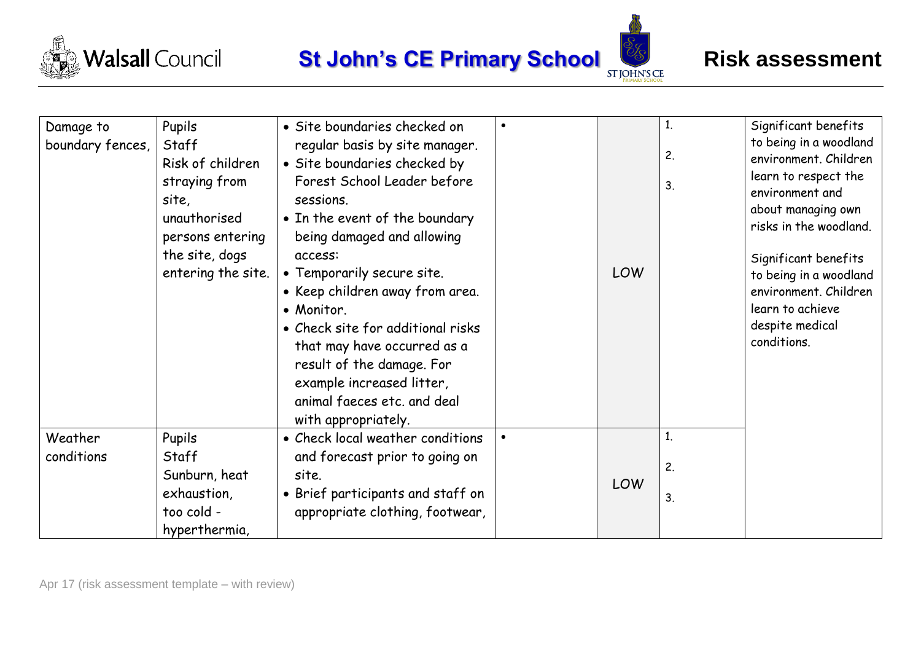





| Damage to        | Pupils             | · Site boundaries checked on      |            | 1. | Significant benefits   |
|------------------|--------------------|-----------------------------------|------------|----|------------------------|
| boundary fences, | Staff              | regular basis by site manager.    |            |    | to being in a woodland |
|                  | Risk of children   | • Site boundaries checked by      |            | 2. | environment. Children  |
|                  | straying from      | Forest School Leader before       |            | 3. | learn to respect the   |
|                  | site,              | sessions.                         |            |    | environment and        |
|                  | unauthorised       | • In the event of the boundary    |            |    | about managing own     |
|                  | persons entering   | being damaged and allowing        |            |    | risks in the woodland. |
|                  | the site, dogs     | access:                           |            |    | Significant benefits   |
|                  | entering the site. | • Temporarily secure site.        | LOW        |    | to being in a woodland |
|                  |                    | • Keep children away from area.   |            |    | environment. Children  |
|                  |                    | • Monitor.                        |            |    | learn to achieve       |
|                  |                    | • Check site for additional risks |            |    | despite medical        |
|                  |                    | that may have occurred as a       |            |    | conditions.            |
|                  |                    | result of the damage. For         |            |    |                        |
|                  |                    | example increased litter,         |            |    |                        |
|                  |                    | animal faeces etc. and deal       |            |    |                        |
|                  |                    | with appropriately.               |            |    |                        |
| Weather          | Pupils             | • Check local weather conditions  |            | 1. |                        |
| conditions       | Staff              | and forecast prior to going on    |            |    |                        |
|                  | Sunburn, heat      | site.                             |            | 2. |                        |
|                  | exhaustion,        | • Brief participants and staff on | <b>LOW</b> | 3. |                        |
|                  | too cold -         | appropriate clothing, footwear,   |            |    |                        |
|                  | hyperthermia,      |                                   |            |    |                        |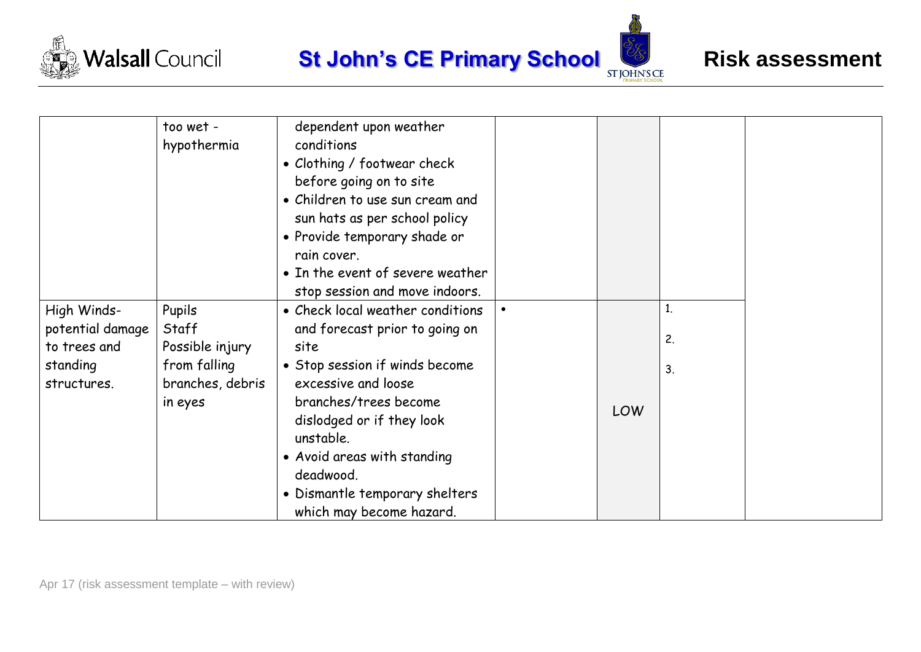





|                                                                            | too wet -<br>hypothermia                                                          | dependent upon weather<br>conditions<br>• Clothing / footwear check<br>before going on to site<br>• Children to use sun cream and<br>sun hats as per school policy<br>• Provide temporary shade or<br>rain cover.<br>• In the event of severe weather<br>stop session and move indoors.                          |     |                |  |
|----------------------------------------------------------------------------|-----------------------------------------------------------------------------------|------------------------------------------------------------------------------------------------------------------------------------------------------------------------------------------------------------------------------------------------------------------------------------------------------------------|-----|----------------|--|
| High Winds-<br>potential damage<br>to trees and<br>standing<br>structures. | Pupils<br>Staff<br>Possible injury<br>from falling<br>branches, debris<br>in eyes | • Check local weather conditions<br>and forecast prior to going on<br>site<br>• Stop session if winds become<br>excessive and loose<br>branches/trees become<br>dislodged or if they look<br>unstable.<br>• Avoid areas with standing<br>deadwood.<br>• Dismantle temporary shelters<br>which may become hazard. | LOW | 1.<br>2.<br>3. |  |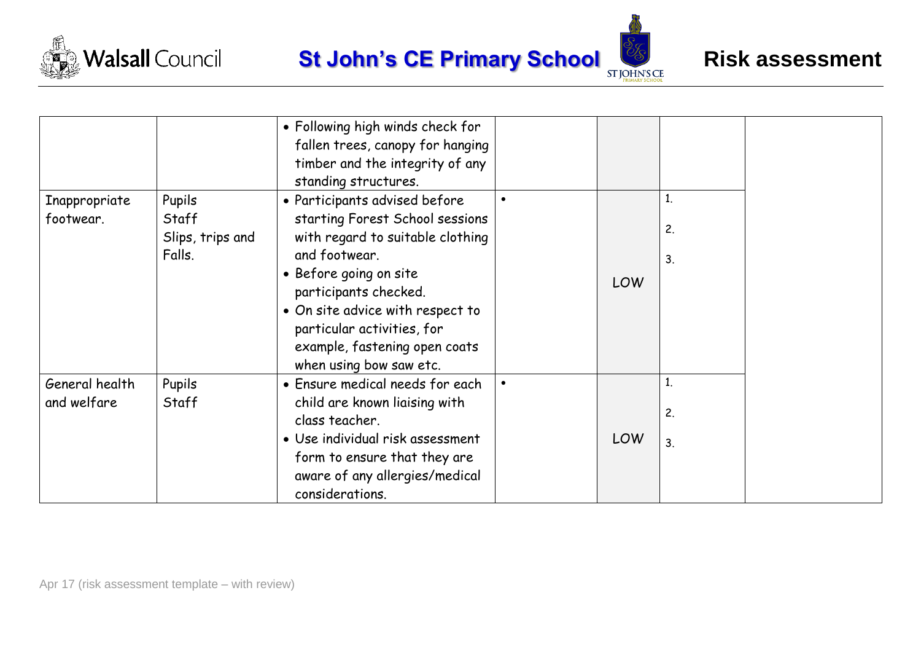





|                               |                                               | • Following high winds check for<br>fallen trees, canopy for hanging<br>timber and the integrity of any<br>standing structures.                                                                                                                                                                        |            |                |
|-------------------------------|-----------------------------------------------|--------------------------------------------------------------------------------------------------------------------------------------------------------------------------------------------------------------------------------------------------------------------------------------------------------|------------|----------------|
| Inappropriate<br>footwear.    | Pupils<br>Staff<br>Slips, trips and<br>Falls. | • Participants advised before<br>starting Forest School sessions<br>with regard to suitable clothing<br>and footwear.<br>• Before going on site<br>participants checked.<br>• On site advice with respect to<br>particular activities, for<br>example, fastening open coats<br>when using bow saw etc. | <b>LOW</b> | 1.<br>2.<br>3. |
| General health<br>and welfare | Pupils<br>Staff                               | • Ensure medical needs for each<br>child are known liaising with<br>class teacher.<br>• Use individual risk assessment<br>form to ensure that they are<br>aware of any allergies/medical<br>considerations.                                                                                            | <b>LOW</b> | 1.<br>2.<br>3. |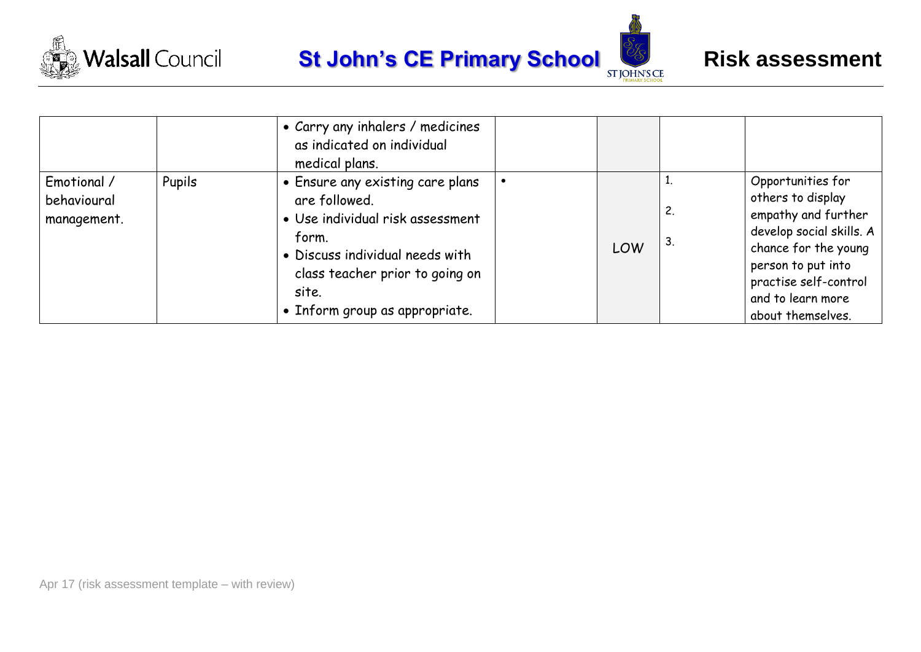





|                                           |        | • Carry any inhalers / medicines<br>as indicated on individual<br>medical plans.                                                                                                                                |            |          |                                                                                                                                                                                                            |
|-------------------------------------------|--------|-----------------------------------------------------------------------------------------------------------------------------------------------------------------------------------------------------------------|------------|----------|------------------------------------------------------------------------------------------------------------------------------------------------------------------------------------------------------------|
| Emotional /<br>behavioural<br>management. | Pupils | • Ensure any existing care plans<br>are followed.<br>• Use individual risk assessment<br>form.<br>· Discuss individual needs with<br>class teacher prior to going on<br>site.<br>• Inform group as appropriate. | <b>LOW</b> | 2.<br>3. | Opportunities for<br>others to display<br>empathy and further<br>develop social skills. A<br>chance for the young<br>person to put into<br>practise self-control<br>and to learn more<br>about themselves. |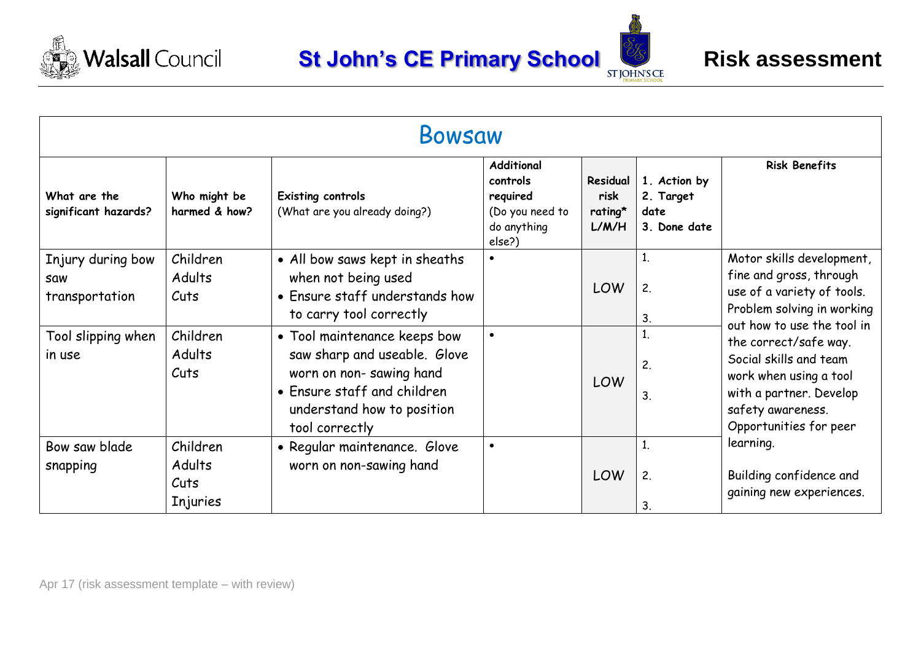





| <b>Bowsaw</b>                              |                                        |                                                                                                                                                                         |                                                                                       |                                             |                                                   |                                                                                                                                                                                                                                                                                                                                                                           |  |
|--------------------------------------------|----------------------------------------|-------------------------------------------------------------------------------------------------------------------------------------------------------------------------|---------------------------------------------------------------------------------------|---------------------------------------------|---------------------------------------------------|---------------------------------------------------------------------------------------------------------------------------------------------------------------------------------------------------------------------------------------------------------------------------------------------------------------------------------------------------------------------------|--|
| What are the<br>significant hazards?       | Who might be<br>harmed & how?          | <b>Existing controls</b><br>(What are you already doing?)                                                                                                               | <b>Additional</b><br>controls<br>required<br>(Do you need to<br>do anything<br>else?) | <b>Residual</b><br>risk<br>rating*<br>L/M/H | 1. Action by<br>2. Target<br>date<br>3. Done date | <b>Risk Benefits</b>                                                                                                                                                                                                                                                                                                                                                      |  |
| Injury during bow<br>Saw<br>transportation | Children<br>Adults<br>Cuts             | • All bow saws kept in sheaths<br>when not being used<br>• Ensure staff understands how<br>to carry tool correctly                                                      |                                                                                       | LOW                                         | 1.<br>2.<br>3.                                    | Motor skills development,<br>fine and gross, through<br>use of a variety of tools.<br>Problem solving in working<br>out how to use the tool in<br>the correct/safe way.<br>Social skills and team<br>work when using a tool<br>with a partner. Develop<br>safety awareness.<br>Opportunities for peer<br>learning.<br>Building confidence and<br>gaining new experiences. |  |
| Tool slipping when<br>in use               | Children<br>Adults<br>Cuts             | • Tool maintenance keeps bow<br>saw sharp and useable. Glove<br>worn on non- sawing hand<br>• Ensure staff and children<br>understand how to position<br>tool correctly | $\bullet$                                                                             | LOW                                         | 1.<br>2.<br>3.                                    |                                                                                                                                                                                                                                                                                                                                                                           |  |
| Bow saw blade<br>snapping                  | Children<br>Adults<br>Cuts<br>Injuries | • Regular maintenance. Glove<br>worn on non-sawing hand                                                                                                                 | $\bullet$                                                                             | LOW                                         | 1.<br>2.<br>3.                                    |                                                                                                                                                                                                                                                                                                                                                                           |  |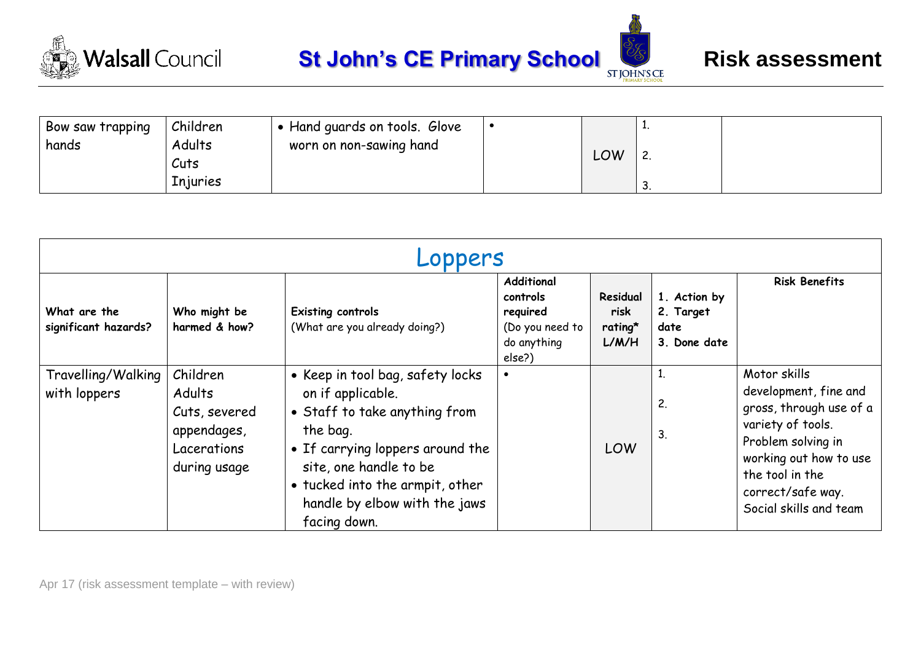



| Bow saw trapping | Children        | Hand guards on tools. Glove |     | -- |  |
|------------------|-----------------|-----------------------------|-----|----|--|
| hands            | Adults          | worn on non-sawing hand     | LOW |    |  |
|                  | Cuts            |                             |     | -- |  |
|                  | <b>Injuries</b> |                             |     | ູ. |  |

| Loppers                              |                                                                                   |                                                                                                                                                                                                                                                      |                                                                                |                                      |                                                   |                                                                                                                                                                                                         |  |
|--------------------------------------|-----------------------------------------------------------------------------------|------------------------------------------------------------------------------------------------------------------------------------------------------------------------------------------------------------------------------------------------------|--------------------------------------------------------------------------------|--------------------------------------|---------------------------------------------------|---------------------------------------------------------------------------------------------------------------------------------------------------------------------------------------------------------|--|
| What are the<br>significant hazards? | Who might be<br>harmed & how?                                                     | Existing controls<br>(What are you already doing?)                                                                                                                                                                                                   | Additional<br>controls<br>required<br>(Do you need to<br>do anything<br>else?) | Residual<br>risk<br>rating*<br>L/M/H | 1. Action by<br>2. Target<br>date<br>3. Done date | <b>Risk Benefits</b>                                                                                                                                                                                    |  |
| Travelling/Walking<br>with loppers   | Children<br>Adults<br>Cuts, severed<br>appendages,<br>Lacerations<br>during usage | • Keep in tool bag, safety locks<br>on if applicable.<br>• Staff to take anything from<br>the bag.<br>• If carrying loppers around the<br>site, one handle to be<br>• tucked into the armpit, other<br>handle by elbow with the jaws<br>facing down. | $\bullet$                                                                      | LOW                                  | 2.<br>3.                                          | Motor skills<br>development, fine and<br>gross, through use of a<br>variety of tools.<br>Problem solving in<br>working out how to use<br>the tool in the<br>correct/safe way.<br>Social skills and team |  |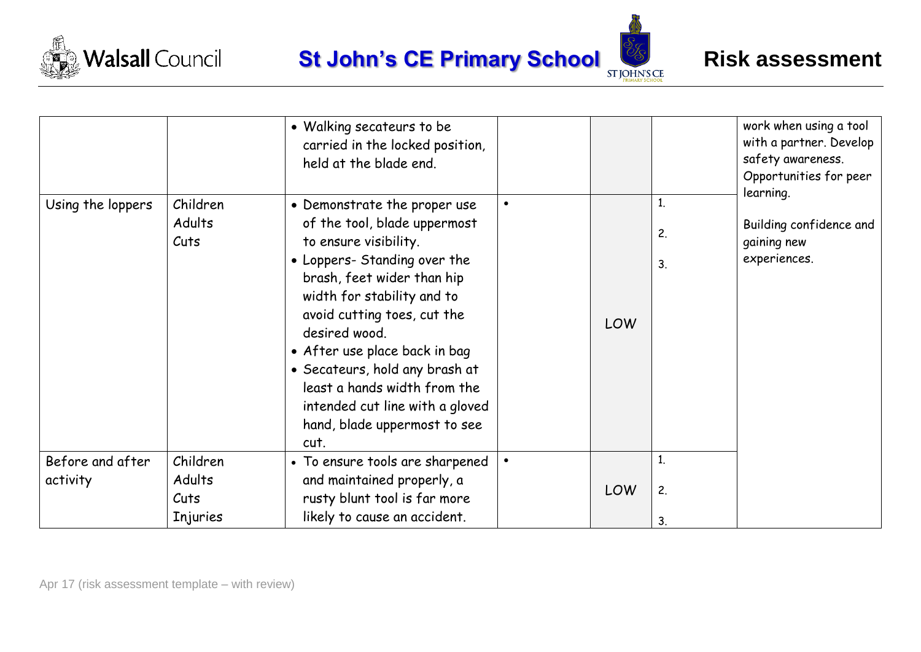





|                              |                                        | • Walking secateurs to be<br>carried in the locked position,<br>held at the blade end.                                                                                                                                                                                                                                                                                                                          |           |     |                | work when using a tool<br>with a partner. Develop<br>safety awareness.<br>Opportunities for peer<br>learning. |
|------------------------------|----------------------------------------|-----------------------------------------------------------------------------------------------------------------------------------------------------------------------------------------------------------------------------------------------------------------------------------------------------------------------------------------------------------------------------------------------------------------|-----------|-----|----------------|---------------------------------------------------------------------------------------------------------------|
| Using the loppers            | Children<br>Adults<br>Cuts             | • Demonstrate the proper use<br>of the tool, blade uppermost<br>to ensure visibility.<br>• Loppers- Standing over the<br>brash, feet wider than hip<br>width for stability and to<br>avoid cutting toes, cut the<br>desired wood.<br>• After use place back in bag<br>· Secateurs, hold any brash at<br>least a hands width from the<br>intended cut line with a gloved<br>hand, blade uppermost to see<br>cut. | $\bullet$ | LOW | 1.<br>2.<br>3. | Building confidence and<br>gaining new<br>experiences.                                                        |
| Before and after<br>activity | Children<br>Adults<br>Cuts<br>Injuries | • To ensure tools are sharpened<br>and maintained properly, a<br>rusty blunt tool is far more<br>likely to cause an accident.                                                                                                                                                                                                                                                                                   | $\bullet$ | LOW | 1.<br>2.<br>3. |                                                                                                               |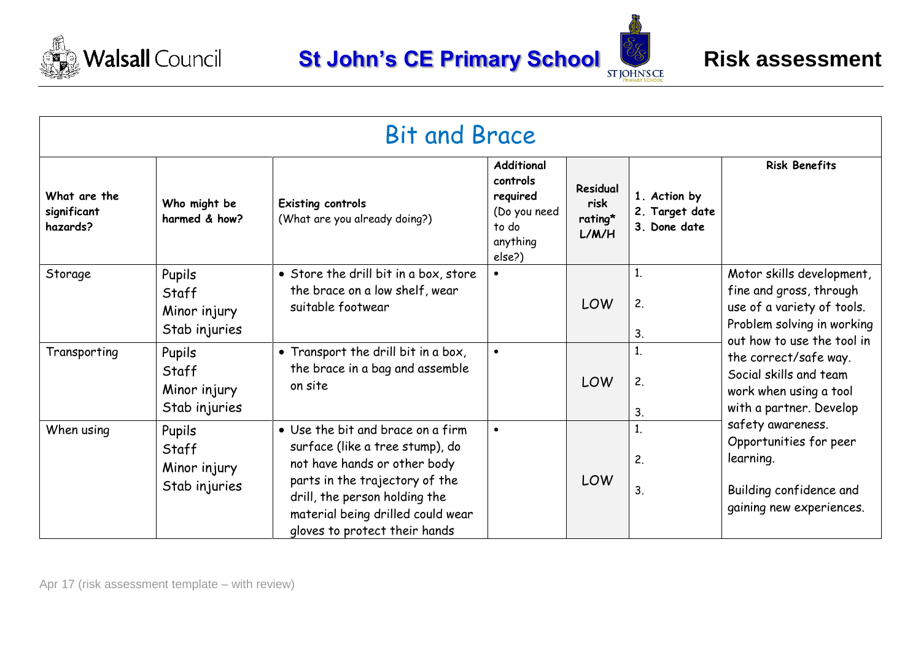



|                                         | <b>Bit and Brace</b>                             |                                                                                                                                                                                                                                               |                                                                                   |                                             |                                                |                                                                                                                                                                                                                                                       |  |  |  |
|-----------------------------------------|--------------------------------------------------|-----------------------------------------------------------------------------------------------------------------------------------------------------------------------------------------------------------------------------------------------|-----------------------------------------------------------------------------------|---------------------------------------------|------------------------------------------------|-------------------------------------------------------------------------------------------------------------------------------------------------------------------------------------------------------------------------------------------------------|--|--|--|
| What are the<br>significant<br>hazards? | Who might be<br>harmed & how?                    | <b>Existing controls</b><br>(What are you already doing?)                                                                                                                                                                                     | Additional<br>controls<br>required<br>(Do you need<br>to do<br>anything<br>else?) | <b>Residual</b><br>risk<br>rating*<br>L/M/H | 1. Action by<br>2. Target date<br>3. Done date | <b>Risk Benefits</b>                                                                                                                                                                                                                                  |  |  |  |
| Storage                                 | Pupils<br>Staff<br>Minor injury<br>Stab injuries | • Store the drill bit in a box, store<br>the brace on a low shelf, wear<br>suitable footwear                                                                                                                                                  | $\bullet$                                                                         | LOW                                         | 1.<br>2.<br>3.                                 | Motor skills development,<br>fine and gross, through<br>use of a variety of tools.<br>Problem solving in working                                                                                                                                      |  |  |  |
| Transporting                            | Pupils<br>Staff<br>Minor injury<br>Stab injuries | • Transport the drill bit in a box,<br>the brace in a bag and assemble<br>on site                                                                                                                                                             | $\bullet$                                                                         | LOW                                         | 1.<br>2.<br>3.                                 | out how to use the tool in<br>the correct/safe way.<br>Social skills and team<br>work when using a tool<br>with a partner. Develop<br>safety awareness.<br>Opportunities for peer<br>learning.<br>Building confidence and<br>gaining new experiences. |  |  |  |
| When using                              | Pupils<br>Staff<br>Minor injury<br>Stab injuries | • Use the bit and brace on a firm<br>surface (like a tree stump), do<br>not have hands or other body<br>parts in the trajectory of the<br>drill, the person holding the<br>material being drilled could wear<br>gloves to protect their hands | $\bullet$                                                                         | LOW                                         | 1.<br>2.<br>3.                                 |                                                                                                                                                                                                                                                       |  |  |  |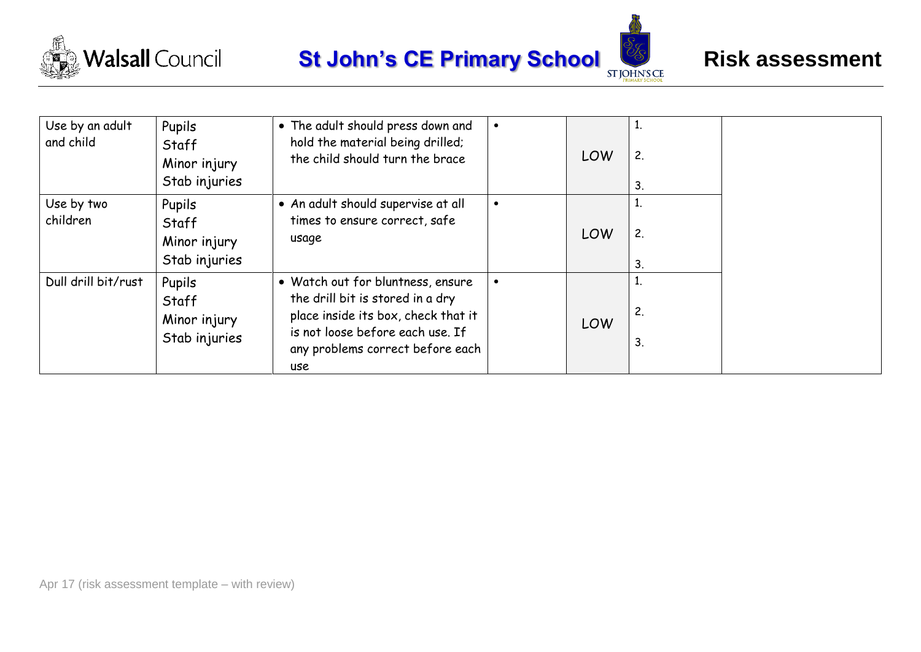





| Use by an adult<br>and child | Pupils<br>Staff<br>Minor injury<br>Stab injuries | • The adult should press down and<br>hold the material being drilled;<br>the child should turn the brace                                                                                    | $\bullet$ | LOW | 2.<br>3. |  |
|------------------------------|--------------------------------------------------|---------------------------------------------------------------------------------------------------------------------------------------------------------------------------------------------|-----------|-----|----------|--|
| Use by two<br>children       | Pupils<br>Staff<br>Minor injury<br>Stab injuries | • An adult should supervise at all<br>times to ensure correct, safe<br>usage                                                                                                                | $\bullet$ | LOW | 2.<br>3. |  |
| Dull drill bit/rust          | Pupils<br>Staff<br>Minor injury<br>Stab injuries | • Watch out for bluntness, ensure<br>the drill bit is stored in a dry<br>place inside its box, check that it<br>is not loose before each use. If<br>any problems correct before each<br>use | $\bullet$ | LOW | 2.<br>3. |  |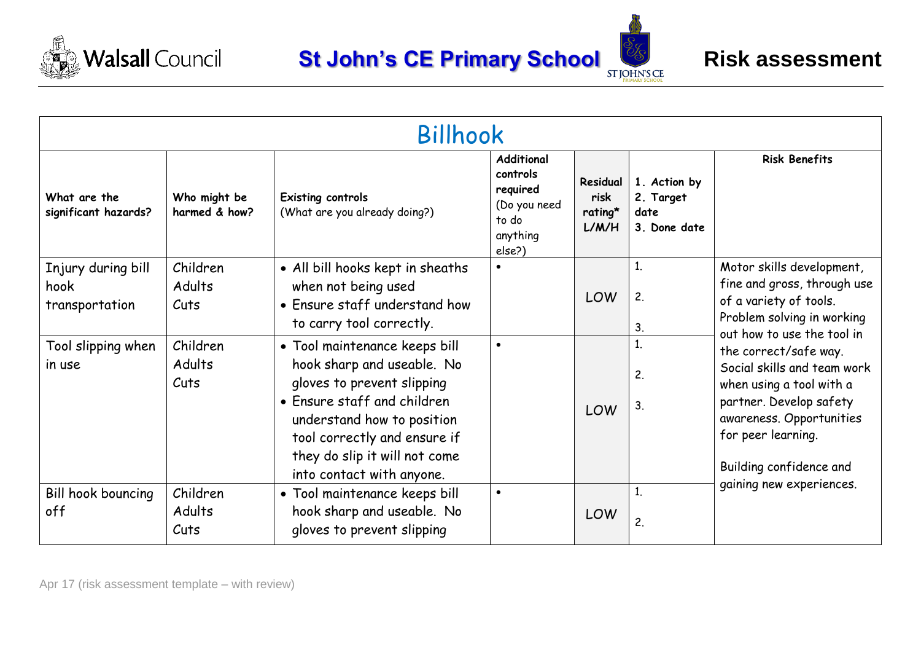





| <b>Billhook</b>                              |                               |                                                                                                                                                                                                                                                      |                                                                                          |                                      |                                                   |                                                                                                                                                                                                                                                                                                                                                                        |  |
|----------------------------------------------|-------------------------------|------------------------------------------------------------------------------------------------------------------------------------------------------------------------------------------------------------------------------------------------------|------------------------------------------------------------------------------------------|--------------------------------------|---------------------------------------------------|------------------------------------------------------------------------------------------------------------------------------------------------------------------------------------------------------------------------------------------------------------------------------------------------------------------------------------------------------------------------|--|
| What are the<br>significant hazards?         | Who might be<br>harmed & how? | <b>Existing controls</b><br>(What are you already doing?)                                                                                                                                                                                            | <b>Additional</b><br>controls<br>required<br>(Do you need<br>to do<br>anything<br>else?) | Residual<br>risk<br>rating*<br>L/M/H | 1. Action by<br>2. Target<br>date<br>3. Done date | <b>Risk Benefits</b>                                                                                                                                                                                                                                                                                                                                                   |  |
| Injury during bill<br>hook<br>transportation | Children<br>Adults<br>Cuts    | • All bill hooks kept in sheaths<br>when not being used<br>• Ensure staff understand how<br>to carry tool correctly.                                                                                                                                 | $\bullet$                                                                                | LOW                                  | 1.<br>2.<br>3.                                    | Motor skills development,<br>fine and gross, through use<br>of a variety of tools.<br>Problem solving in working<br>out how to use the tool in<br>the correct/safe way.<br>Social skills and team work<br>when using a tool with a<br>partner. Develop safety<br>awareness. Opportunities<br>for peer learning.<br>Building confidence and<br>gaining new experiences. |  |
| Tool slipping when<br>in use                 | Children<br>Adults<br>Cuts    | • Tool maintenance keeps bill<br>hook sharp and useable. No<br>gloves to prevent slipping<br>• Ensure staff and children<br>understand how to position<br>tool correctly and ensure if<br>they do slip it will not come<br>into contact with anyone. | $\bullet$                                                                                | LOW                                  | 1.<br>2.<br>3.                                    |                                                                                                                                                                                                                                                                                                                                                                        |  |
| Bill hook bouncing<br>off                    | Children<br>Adults<br>Cuts    | • Tool maintenance keeps bill<br>hook sharp and useable. No<br>gloves to prevent slipping                                                                                                                                                            | $\bullet$                                                                                | LOW                                  | 1.<br>2.                                          |                                                                                                                                                                                                                                                                                                                                                                        |  |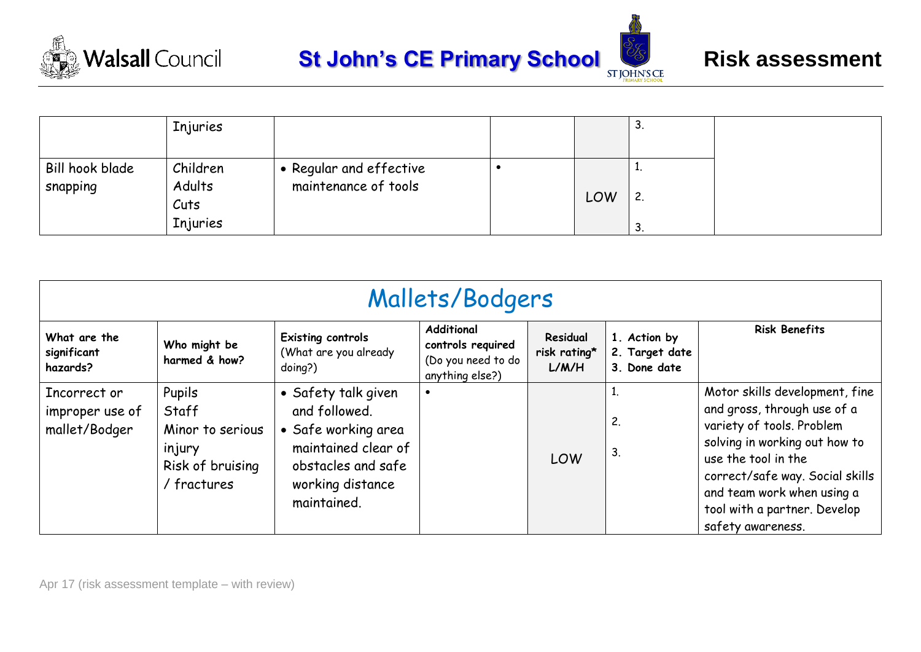





|                 | <b>Injuries</b> |                         |     | J. |  |
|-----------------|-----------------|-------------------------|-----|----|--|
| Bill hook blade | Children        | • Regular and effective |     |    |  |
| snapping        | Adults<br>Cuts  | maintenance of tools    | LOW | 2. |  |
|                 | Injuries        |                         |     | J. |  |

| Mallets/Bodgers                                  |                                                                                  |                                                                                                                                             |                                                                          |                                   |                                                |                                                                                                                                                                                                                                                                          |  |
|--------------------------------------------------|----------------------------------------------------------------------------------|---------------------------------------------------------------------------------------------------------------------------------------------|--------------------------------------------------------------------------|-----------------------------------|------------------------------------------------|--------------------------------------------------------------------------------------------------------------------------------------------------------------------------------------------------------------------------------------------------------------------------|--|
| What are the<br>significant<br>hazards?          | Who might be<br>harmed & how?                                                    | <b>Existing controls</b><br>(What are you already<br>doing?)                                                                                | Additional<br>controls required<br>(Do you need to do<br>anything else?) | Residual<br>risk rating*<br>L/M/H | 1. Action by<br>2. Target date<br>3. Done date | <b>Risk Benefits</b>                                                                                                                                                                                                                                                     |  |
| Incorrect or<br>improper use of<br>mallet/Bodger | Pupils<br>Staff<br>Minor to serious<br>injury<br>Risk of bruising<br>/ fractures | • Safety talk given<br>and followed.<br>• Safe working area<br>maintained clear of<br>obstacles and safe<br>working distance<br>maintained. |                                                                          | LOW                               | 2.<br>3.                                       | Motor skills development, fine<br>and gross, through use of a<br>variety of tools. Problem<br>solving in working out how to<br>use the tool in the<br>correct/safe way. Social skills<br>and team work when using a<br>tool with a partner. Develop<br>safety awareness. |  |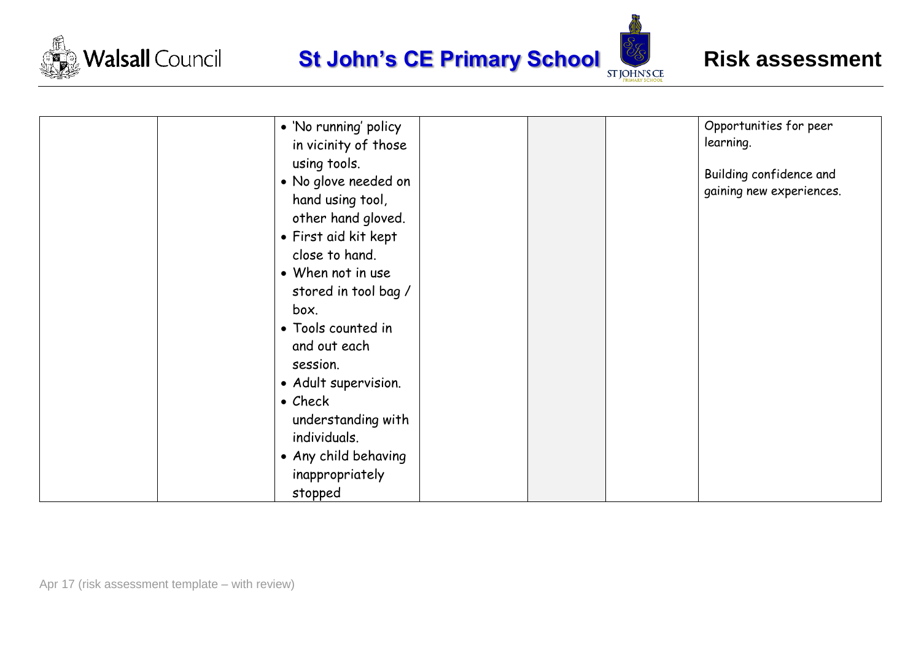





| · 'No running' policy<br>in vicinity of those<br>using tools.<br>• No glove needed on<br>hand using tool,<br>other hand gloved.<br>• First aid kit kept<br>close to hand.<br>• When not in use<br>stored in tool bag /<br>box.<br>• Tools counted in<br>and out each<br>session.<br>• Adult supervision.<br>$\bullet$ Check<br>understanding with<br>individuals.<br>• Any child behaving<br>inappropriately | Opportunities for peer<br>learning.<br>Building confidence and<br>gaining new experiences. |
|--------------------------------------------------------------------------------------------------------------------------------------------------------------------------------------------------------------------------------------------------------------------------------------------------------------------------------------------------------------------------------------------------------------|--------------------------------------------------------------------------------------------|
| stopped                                                                                                                                                                                                                                                                                                                                                                                                      |                                                                                            |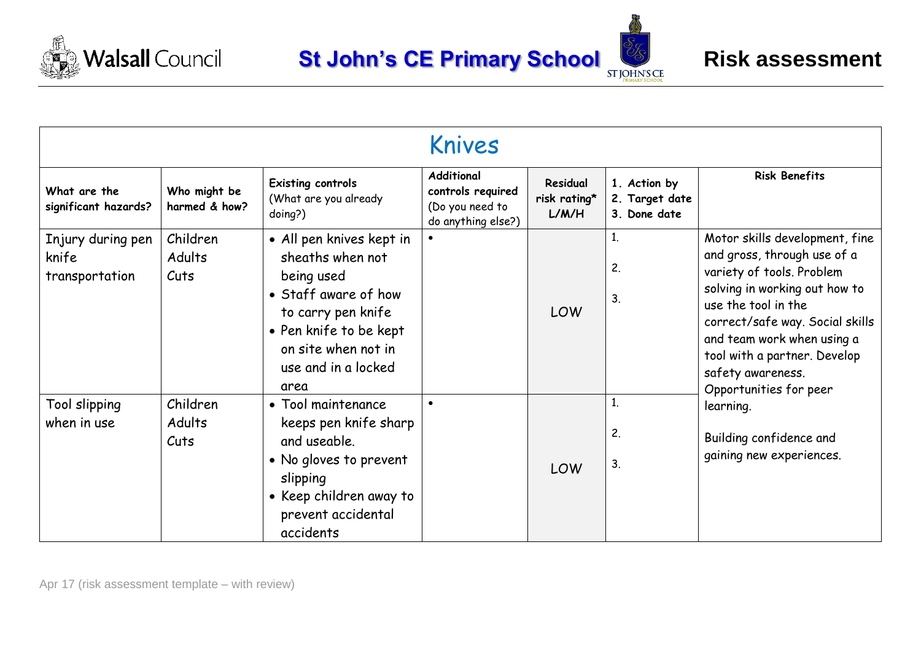





|                                              | Knives                        |                                                                                                                                                                                          |                                                                                 |                                          |                                                |                                                                                                                                                                                                                                                                          |  |
|----------------------------------------------|-------------------------------|------------------------------------------------------------------------------------------------------------------------------------------------------------------------------------------|---------------------------------------------------------------------------------|------------------------------------------|------------------------------------------------|--------------------------------------------------------------------------------------------------------------------------------------------------------------------------------------------------------------------------------------------------------------------------|--|
| What are the<br>significant hazards?         | Who might be<br>harmed & how? | Existing controls<br>(What are you already<br>doing?)                                                                                                                                    | <b>Additional</b><br>controls required<br>(Do you need to<br>do anything else?) | <b>Residual</b><br>risk rating*<br>L/M/H | 1. Action by<br>2. Target date<br>3. Done date | <b>Risk Benefits</b>                                                                                                                                                                                                                                                     |  |
| Injury during pen<br>knife<br>transportation | Children<br>Adults<br>Cuts    | • All pen knives kept in<br>sheaths when not<br>being used<br>• Staff aware of how<br>to carry pen knife<br>• Pen knife to be kept<br>on site when not in<br>use and in a locked<br>area |                                                                                 | <b>LOW</b>                               | 1.<br>2.<br>3.                                 | Motor skills development, fine<br>and gross, through use of a<br>variety of tools. Problem<br>solving in working out how to<br>use the tool in the<br>correct/safe way. Social skills<br>and team work when using a<br>tool with a partner. Develop<br>safety awareness. |  |
| Tool slipping<br>when in use                 | Children<br>Adults<br>Cuts    | • Tool maintenance<br>keeps pen knife sharp<br>and useable.<br>• No gloves to prevent<br>slipping<br>• Keep children away to<br>prevent accidental<br>accidents                          | $\bullet$                                                                       | LOW                                      | 1.<br>2.<br>3.                                 | Opportunities for peer<br>learning.<br>Building confidence and<br>gaining new experiences.                                                                                                                                                                               |  |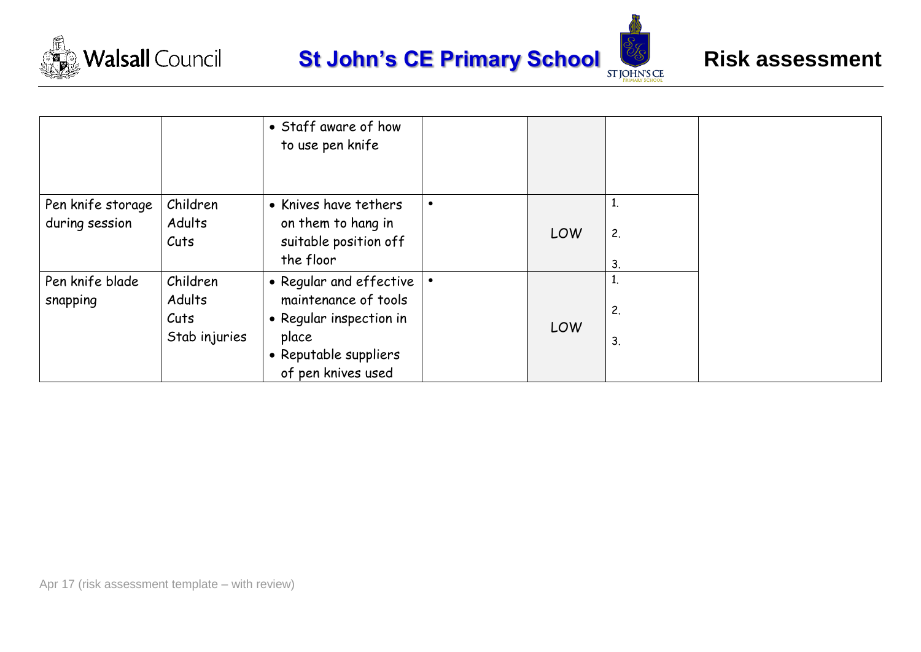





|                                     |                                             | • Staff aware of how<br>to use pen knife                                                                                           |     |                |  |
|-------------------------------------|---------------------------------------------|------------------------------------------------------------------------------------------------------------------------------------|-----|----------------|--|
| Pen knife storage<br>during session | Children<br>Adults<br>Cuts                  | • Knives have tethers<br>on them to hang in<br>suitable position off<br>the floor                                                  | LOW | 2.<br>3.       |  |
| Pen knife blade<br>snapping         | Children<br>Adults<br>Cuts<br>Stab injuries | • Regular and effective<br>maintenance of tools<br>• Regular inspection in<br>place<br>• Reputable suppliers<br>of pen knives used | LOW | 1.<br>2.<br>3. |  |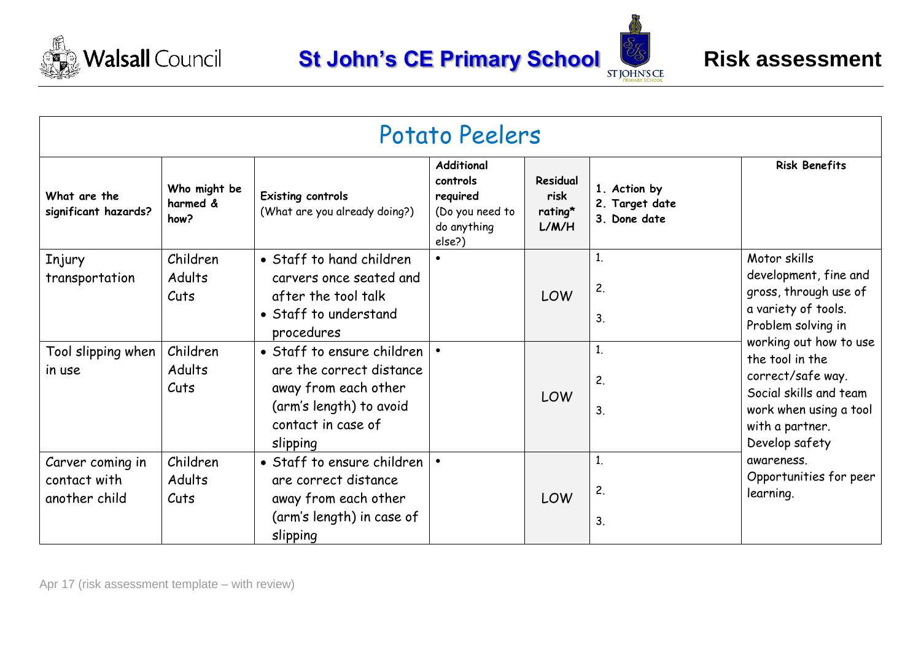





|                                                   | Potato Peelers                   |                                                                                                                                             |                                                                                |                                      |                                                |                                                                                                                                                         |  |  |
|---------------------------------------------------|----------------------------------|---------------------------------------------------------------------------------------------------------------------------------------------|--------------------------------------------------------------------------------|--------------------------------------|------------------------------------------------|---------------------------------------------------------------------------------------------------------------------------------------------------------|--|--|
| What are the<br>significant hazards?              | Who might be<br>harmed &<br>how? | <b>Existing controls</b><br>(What are you already doing?)                                                                                   | Additional<br>controls<br>required<br>(Do you need to<br>do anything<br>else?) | Residual<br>risk<br>rating*<br>L/M/H | 1. Action by<br>2. Target date<br>3. Done date | <b>Risk Benefits</b>                                                                                                                                    |  |  |
| Injury<br>transportation                          | Children<br>Adults<br>Cuts       | • Staff to hand children<br>carvers once seated and<br>after the tool talk<br>• Staff to understand<br>procedures                           |                                                                                | <b>LOW</b>                           | 1.<br>2.<br>3.                                 | Motor skills<br>development, fine and<br>gross, through use of<br>a variety of tools.<br>Problem solving in                                             |  |  |
| Tool slipping when<br>in use                      | Children<br>Adults<br>Cuts       | · Staff to ensure children<br>are the correct distance<br>away from each other<br>(arm's length) to avoid<br>contact in case of<br>slipping |                                                                                | <b>LOW</b>                           | 1.<br>2.<br>3.                                 | working out how to use<br>the tool in the<br>correct/safe way.<br>Social skills and team<br>work when using a tool<br>with a partner.<br>Develop safety |  |  |
| Carver coming in<br>contact with<br>another child | Children<br>Adults<br>Cuts       | • Staff to ensure children<br>are correct distance<br>away from each other<br>(arm's length) in case of<br>slipping                         | $\bullet$                                                                      | <b>LOW</b>                           | 1.<br>2.<br>3.                                 | awareness.<br>Opportunities for peer<br>learning.                                                                                                       |  |  |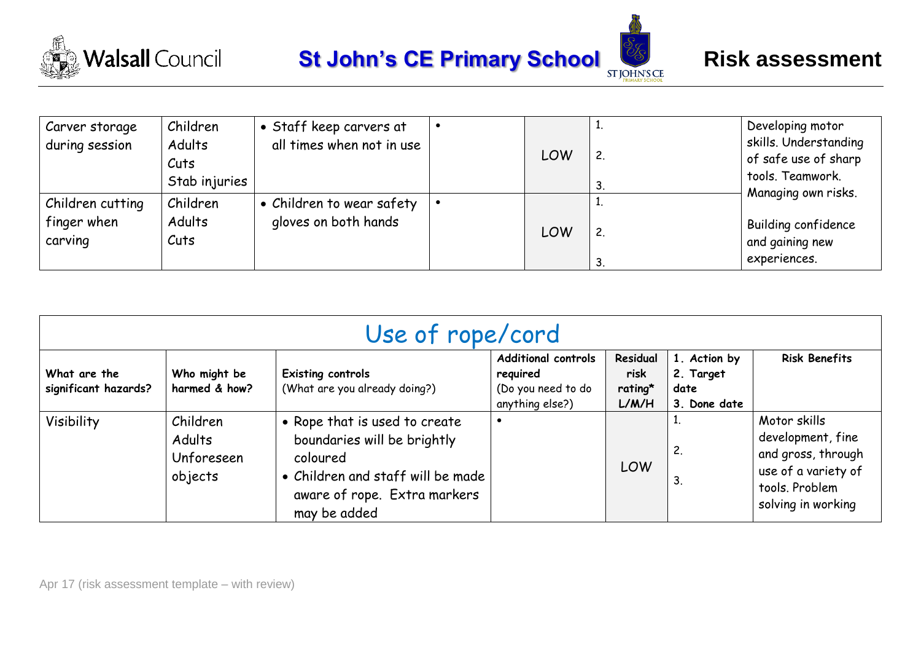





| Carver storage<br>during session           | Children<br>Adults<br>Cuts<br>Stab injuries | • Staff keep carvers at<br>all times when not in use | LOW        | $\mathbf{2}$ | Developing motor<br>skills. Understanding<br>of safe use of sharp<br>tools. Teamwork. |
|--------------------------------------------|---------------------------------------------|------------------------------------------------------|------------|--------------|---------------------------------------------------------------------------------------|
| Children cutting<br>finger when<br>carving | Children<br>Adults<br>Cuts                  | • Children to wear safety<br>gloves on both hands    | <b>LOW</b> | 2.           | Managing own risks.<br>Building confidence<br>and gaining new<br>experiences.         |

| Use of rope/cord                     |                                             |                                                                                                                                                               |                                                                                 |                                        |                                                   |                                                                                                                        |  |
|--------------------------------------|---------------------------------------------|---------------------------------------------------------------------------------------------------------------------------------------------------------------|---------------------------------------------------------------------------------|----------------------------------------|---------------------------------------------------|------------------------------------------------------------------------------------------------------------------------|--|
| What are the<br>significant hazards? | Who might be<br>harmed & how?               | <b>Existing controls</b><br>(What are you already doing?)                                                                                                     | <b>Additional controls</b><br>required<br>(Do you need to do<br>anything else?) | Residual<br>risk<br>$rating*$<br>L/M/H | 1. Action by<br>2. Target<br>date<br>3. Done date | <b>Risk Benefits</b>                                                                                                   |  |
| Visibility                           | Children<br>Adults<br>Unforeseen<br>objects | • Rope that is used to create<br>boundaries will be brightly<br>coloured<br>• Children and staff will be made<br>aware of rope. Extra markers<br>may be added |                                                                                 | <b>LOW</b>                             | 1.<br>2.<br>3 <sub>1</sub>                        | Motor skills<br>development, fine<br>and gross, through<br>use of a variety of<br>tools. Problem<br>solving in working |  |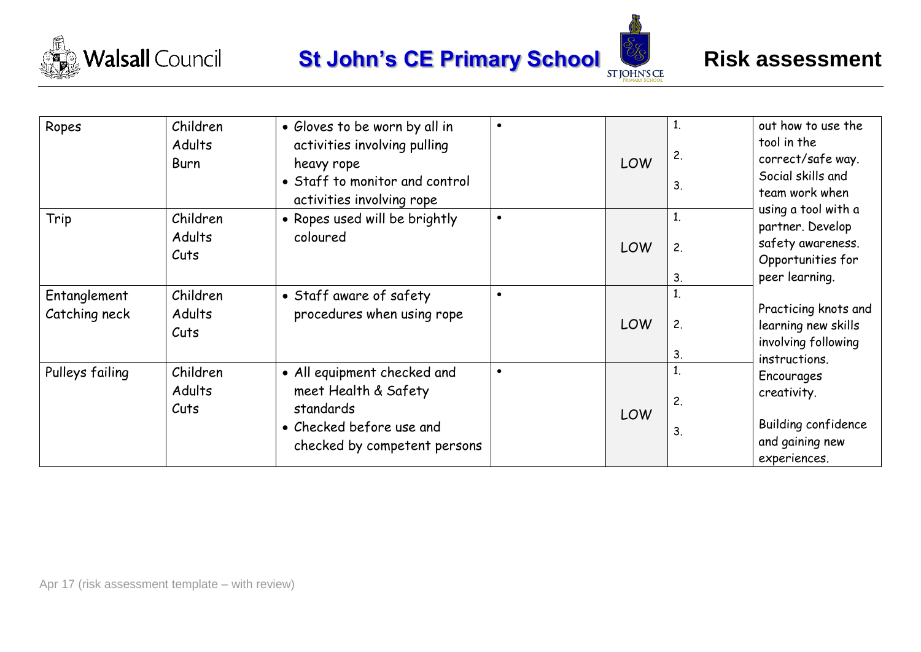





| Ropes                         | Children<br>Adults<br><b>Burn</b> | · Gloves to be worn by all in<br>activities involving pulling<br>heavy rope<br>• Staff to monitor and control<br>activities involving rope |           | <b>LOW</b> | 1.<br>2.<br>3. | out how to use the<br>tool in the<br>correct/safe way.<br>Social skills and<br>team work when       |
|-------------------------------|-----------------------------------|--------------------------------------------------------------------------------------------------------------------------------------------|-----------|------------|----------------|-----------------------------------------------------------------------------------------------------|
| Trip                          | Children<br>Adults<br>Cuts        | • Ropes used will be brightly<br>coloured                                                                                                  |           | <b>LOW</b> | 1.<br>2.<br>3. | using a tool with a<br>partner. Develop<br>safety awareness.<br>Opportunities for<br>peer learning. |
| Entanglement<br>Catching neck | Children<br>Adults<br>Cuts        | • Staff aware of safety<br>procedures when using rope                                                                                      |           | <b>LOW</b> | 1.<br>2.<br>3. | Practicing knots and<br>learning new skills<br>involving following<br>instructions.                 |
| Pulleys failing               | Children<br>Adults<br>Cuts        | • All equipment checked and<br>meet Health & Safety<br>standards<br>• Checked before use and<br>checked by competent persons               | $\bullet$ | <b>LOW</b> | 1.<br>2.<br>3. | Encourages<br>creativity.<br><b>Building confidence</b><br>and gaining new<br>experiences.          |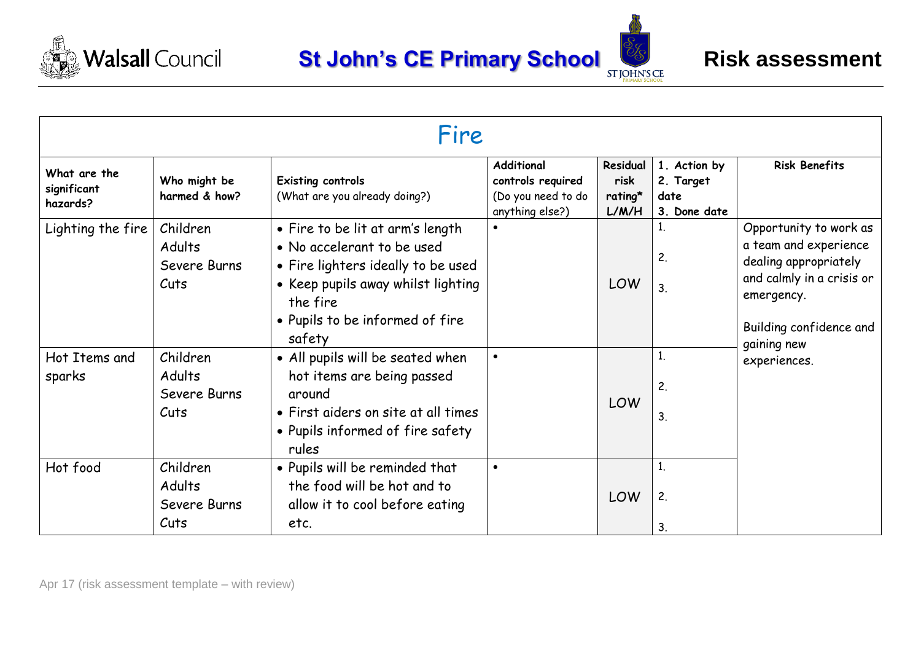





| Fire                                    |                                            |                                                                                                                                                                                                     |                                                                                 |                                      |                                                   |                                                                                                                                                                               |  |
|-----------------------------------------|--------------------------------------------|-----------------------------------------------------------------------------------------------------------------------------------------------------------------------------------------------------|---------------------------------------------------------------------------------|--------------------------------------|---------------------------------------------------|-------------------------------------------------------------------------------------------------------------------------------------------------------------------------------|--|
| What are the<br>significant<br>hazards? | Who might be<br>harmed & how?              | <b>Existing controls</b><br>(What are you already doing?)                                                                                                                                           | <b>Additional</b><br>controls required<br>(Do you need to do<br>anything else?) | Residual<br>risk<br>rating*<br>L/M/H | 1. Action by<br>2. Target<br>date<br>3. Done date | <b>Risk Benefits</b>                                                                                                                                                          |  |
| Lighting the fire                       | Children<br>Adults<br>Severe Burns<br>Cuts | • Fire to be lit at arm's length<br>• No accelerant to be used<br>• Fire lighters ideally to be used<br>• Keep pupils away whilst lighting<br>the fire<br>• Pupils to be informed of fire<br>safety | $\bullet$                                                                       | LOW                                  | 2.<br>3.                                          | Opportunity to work as<br>a team and experience<br>dealing appropriately<br>and calmly in a crisis or<br>emergency.<br>Building confidence and<br>gaining new<br>experiences. |  |
| Hot Items and<br>sparks                 | Children<br>Adults<br>Severe Burns<br>Cuts | • All pupils will be seated when<br>hot items are being passed<br>around<br>• First aiders on site at all times<br>• Pupils informed of fire safety<br>rules                                        | $\bullet$                                                                       | LOW                                  | 1.<br>2.<br>3.                                    |                                                                                                                                                                               |  |
| Hot food                                | Children<br>Adults<br>Severe Burns<br>Cuts | • Pupils will be reminded that<br>the food will be hot and to<br>allow it to cool before eating<br>etc.                                                                                             | $\bullet$                                                                       | LOW                                  | 1.<br>2.<br>3.                                    |                                                                                                                                                                               |  |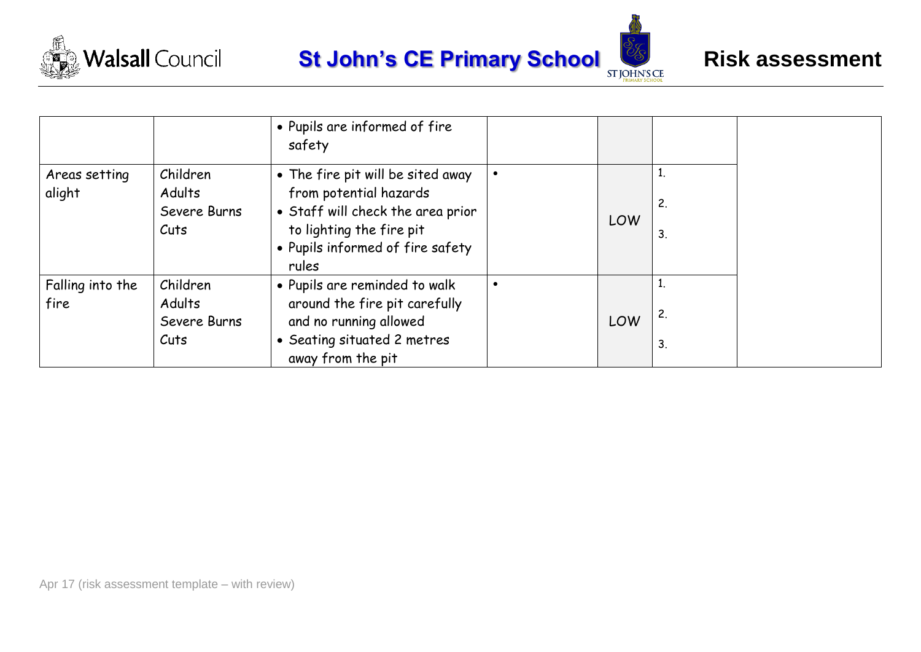



|                  |                        | • Pupils are informed of fire<br>safety                     |           |     |    |
|------------------|------------------------|-------------------------------------------------------------|-----------|-----|----|
| Areas setting    | Children               | • The fire pit will be sited away                           | $\bullet$ |     |    |
| alight           | Adults<br>Severe Burns | from potential hazards<br>• Staff will check the area prior |           | LOW | 2. |
|                  | Cuts                   | to lighting the fire pit                                    |           |     | З. |
|                  |                        | • Pupils informed of fire safety<br>rules                   |           |     |    |
| Falling into the | Children               | • Pupils are reminded to walk                               | $\bullet$ |     |    |
| fire             | Adults<br>Severe Burns | around the fire pit carefully<br>and no running allowed     |           | LOW | 2. |
|                  | Cuts                   | • Seating situated 2 metres<br>away from the pit            |           |     | 3. |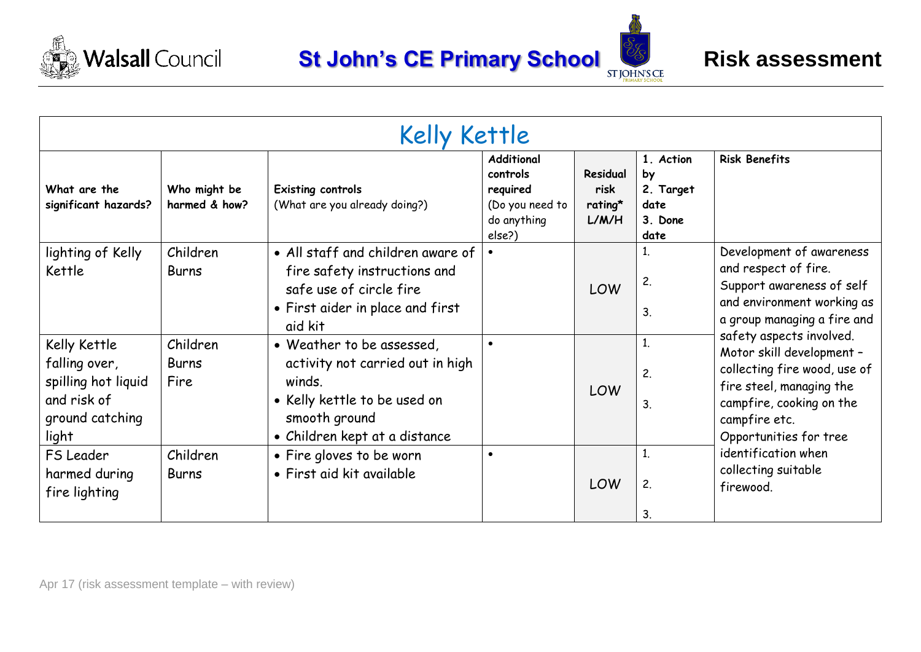



| <b>Kelly Kettle</b>                                                                             |                               |                                                                                                                                                           |                                                                                       |                                      |                                                         |                                                                                                                                                                                          |  |
|-------------------------------------------------------------------------------------------------|-------------------------------|-----------------------------------------------------------------------------------------------------------------------------------------------------------|---------------------------------------------------------------------------------------|--------------------------------------|---------------------------------------------------------|------------------------------------------------------------------------------------------------------------------------------------------------------------------------------------------|--|
| What are the<br>significant hazards?                                                            | Who might be<br>harmed & how? | <b>Existing controls</b><br>(What are you already doing?)                                                                                                 | <b>Additional</b><br>controls<br>required<br>(Do you need to<br>do anything<br>else?) | Residual<br>risk<br>rating*<br>L/M/H | 1. Action<br>by<br>2. Target<br>date<br>3. Done<br>date | <b>Risk Benefits</b>                                                                                                                                                                     |  |
| lighting of Kelly<br>Kettle                                                                     | Children<br><b>Burns</b>      | • All staff and children aware of<br>fire safety instructions and<br>safe use of circle fire<br>• First aider in place and first<br>aid kit               |                                                                                       | <b>LOW</b>                           | 1.<br>2.<br>3.                                          | Development of awareness<br>and respect of fire.<br>Support awareness of self<br>and environment working as<br>a group managing a fire and                                               |  |
| Kelly Kettle<br>falling over,<br>spilling hot liquid<br>and risk of<br>ground catching<br>light | Children<br>Burns<br>Fire     | • Weather to be assessed,<br>activity not carried out in high<br>winds.<br>• Kelly kettle to be used on<br>smooth ground<br>• Children kept at a distance |                                                                                       | <b>LOW</b>                           | 1.<br>2.<br>3.                                          | safety aspects involved.<br>Motor skill development -<br>collecting fire wood, use of<br>fire steel, managing the<br>campfire, cooking on the<br>campfire etc.<br>Opportunities for tree |  |
| FS Leader<br>harmed during<br>fire lighting                                                     | Children<br>Burns             | • Fire gloves to be worn<br>• First aid kit available                                                                                                     |                                                                                       | LOW                                  | 1.<br>2.<br>3.                                          | identification when<br>collecting suitable<br>firewood.                                                                                                                                  |  |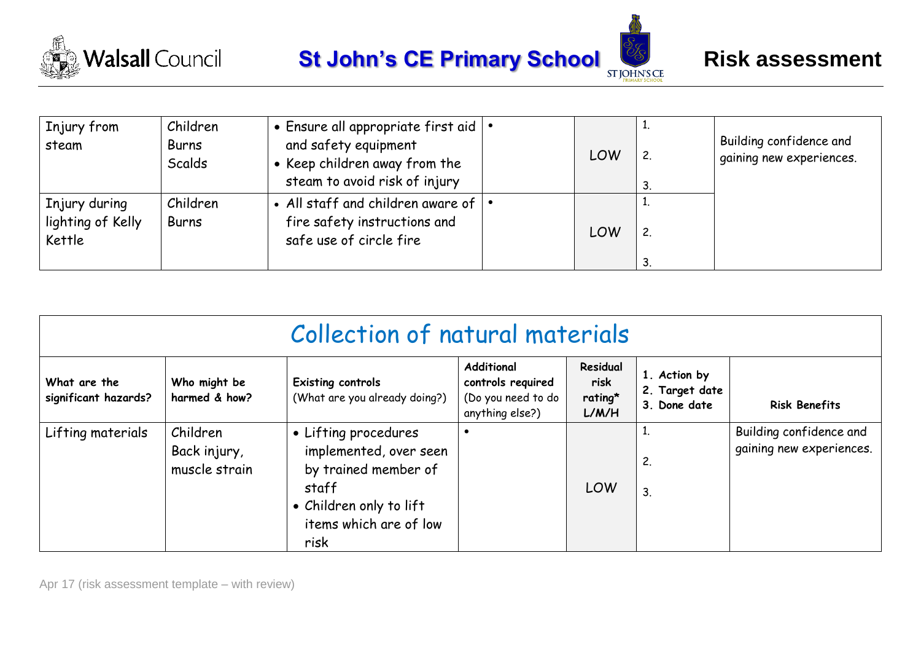





| Injury from<br>steam                         | Children<br>Burns<br>Scalds | • Ensure all appropriate first aid   •<br>and safety equipment<br>• Keep children away from the<br>steam to avoid risk of injury | LOW | ٠.<br>2. | Building confidence and<br>gaining new experiences. |
|----------------------------------------------|-----------------------------|----------------------------------------------------------------------------------------------------------------------------------|-----|----------|-----------------------------------------------------|
| Injury during<br>lighting of Kelly<br>Kettle | Children<br>Burns           | • All staff and children aware of $ \cdot$<br>fire safety instructions and<br>safe use of circle fire                            | LOW | 2.       |                                                     |

|                                      | Collection of natural materials           |                                                                                                                                              |                                                                          |                                      |                                                |                                                     |  |
|--------------------------------------|-------------------------------------------|----------------------------------------------------------------------------------------------------------------------------------------------|--------------------------------------------------------------------------|--------------------------------------|------------------------------------------------|-----------------------------------------------------|--|
| What are the<br>significant hazards? | Who might be<br>harmed & how?             | <b>Existing controls</b><br>(What are you already doing?)                                                                                    | Additional<br>controls required<br>(Do you need to do<br>anything else?) | Residual<br>risk<br>rating*<br>L/M/H | 1. Action by<br>2. Target date<br>3. Done date | <b>Risk Benefits</b>                                |  |
| Lifting materials                    | Children<br>Back injury,<br>muscle strain | • Lifting procedures<br>implemented, over seen<br>by trained member of<br>staff<br>• Children only to lift<br>items which are of low<br>risk |                                                                          | <b>LOW</b>                           | 2.<br>3                                        | Building confidence and<br>gaining new experiences. |  |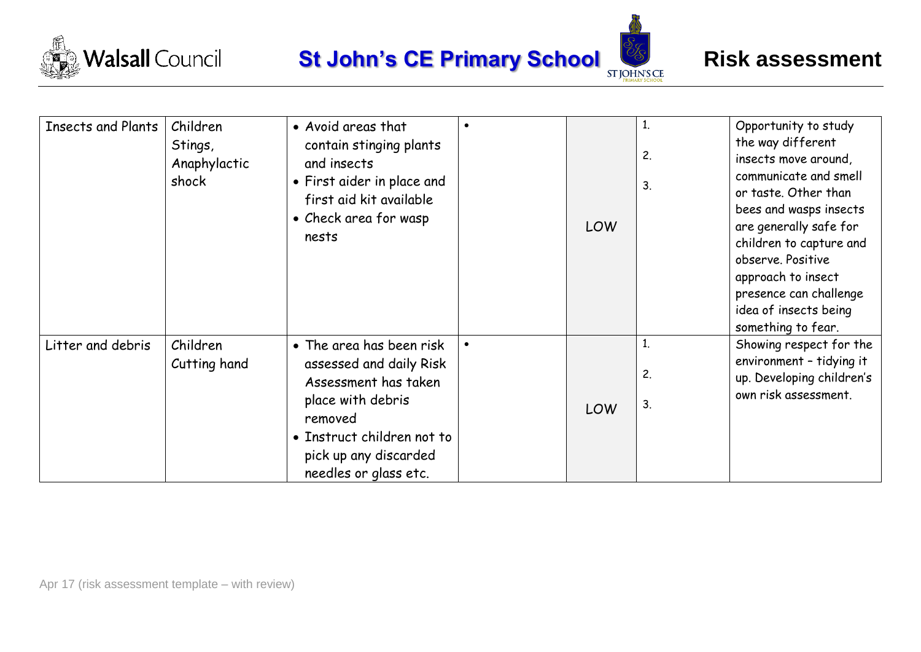





| <b>Insects and Plants</b> | Children<br>Stings,<br>Anaphylactic<br>shock | • Avoid areas that<br>contain stinging plants<br>and insects<br>• First aider in place and<br>first aid kit available<br>• Check area for wasp<br>nests                                     | LOW        | 1.<br>2.<br>3. | Opportunity to study<br>the way different<br>insects move around,<br>communicate and smell<br>or taste. Other than<br>bees and wasps insects<br>are generally safe for<br>children to capture and<br>observe. Positive<br>approach to insect<br>presence can challenge<br>idea of insects being<br>something to fear. |
|---------------------------|----------------------------------------------|---------------------------------------------------------------------------------------------------------------------------------------------------------------------------------------------|------------|----------------|-----------------------------------------------------------------------------------------------------------------------------------------------------------------------------------------------------------------------------------------------------------------------------------------------------------------------|
| Litter and debris         | Children<br>Cutting hand                     | • The area has been risk<br>assessed and daily Risk<br>Assessment has taken<br>place with debris<br>removed<br>• Instruct children not to<br>pick up any discarded<br>needles or glass etc. | <b>LOW</b> | 1.<br>2.<br>3. | Showing respect for the<br>environment - tidying it<br>up. Developing children's<br>own risk assessment.                                                                                                                                                                                                              |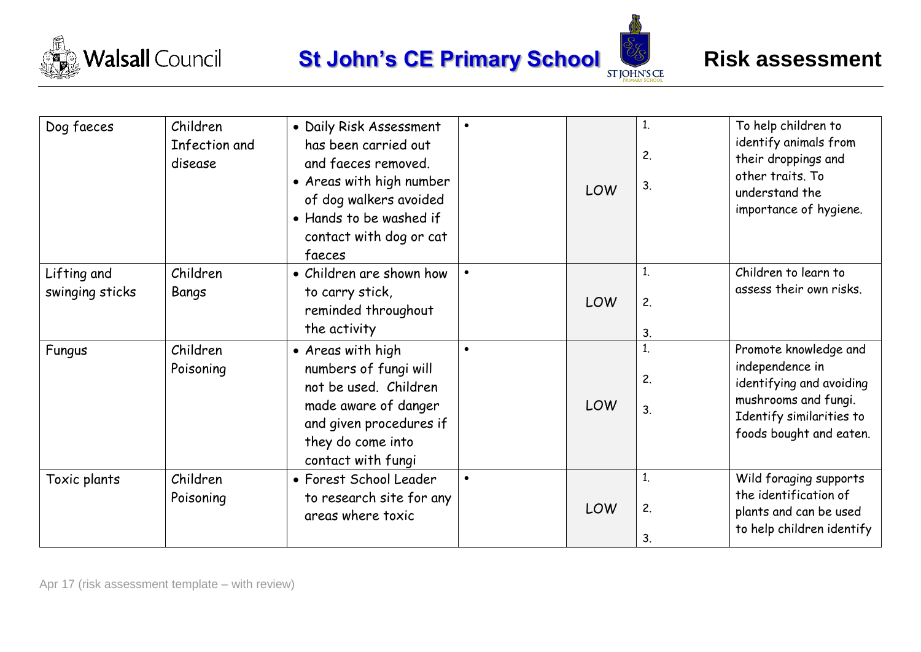





| Dog faeces                     | Children<br>Infection and<br>disease | • Daily Risk Assessment<br>has been carried out<br>and faeces removed.<br>• Areas with high number<br>of dog walkers avoided<br>• Hands to be washed if<br>contact with dog or cat<br>faeces | $\bullet$ | <b>LOW</b> | 1.<br>2.<br>3. | To help children to<br>identify animals from<br>their droppings and<br>other traits. To<br>understand the<br>importance of hygiene.                 |
|--------------------------------|--------------------------------------|----------------------------------------------------------------------------------------------------------------------------------------------------------------------------------------------|-----------|------------|----------------|-----------------------------------------------------------------------------------------------------------------------------------------------------|
| Lifting and<br>swinging sticks | Children<br>Bangs                    | • Children are shown how<br>to carry stick,<br>reminded throughout<br>the activity                                                                                                           |           | <b>LOW</b> | 1.<br>2.<br>3. | Children to learn to<br>assess their own risks.                                                                                                     |
| Fungus                         | Children<br>Poisoning                | • Areas with high<br>numbers of fungi will<br>not be used. Children<br>made aware of danger<br>and given procedures if<br>they do come into<br>contact with fungi                            | $\bullet$ | <b>LOW</b> | 1.<br>2.<br>3. | Promote knowledge and<br>independence in<br>identifying and avoiding<br>mushrooms and fungi.<br>Identify similarities to<br>foods bought and eaten. |
| Toxic plants                   | Children<br>Poisoning                | • Forest School Leader<br>to research site for any<br>areas where toxic                                                                                                                      |           | LOW        | 1.<br>2.<br>3. | Wild foraging supports<br>the identification of<br>plants and can be used<br>to help children identify                                              |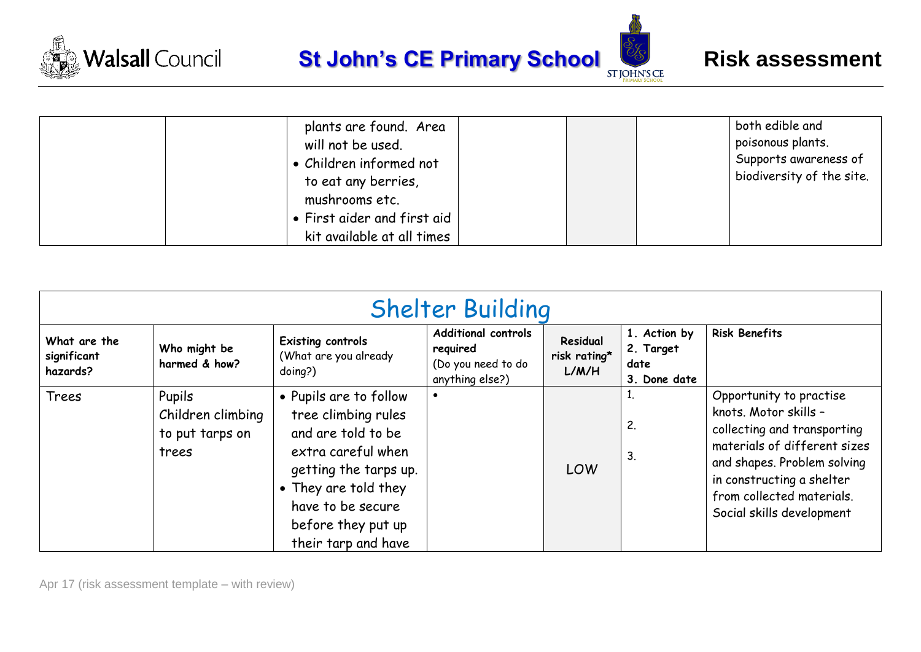





| plants are found. Area<br>will not be used.<br>· Children informed not<br>to eat any berries,<br>mushrooms etc. | both edible and<br>poisonous plants.<br>Supports awareness of<br>biodiversity of the site. |
|-----------------------------------------------------------------------------------------------------------------|--------------------------------------------------------------------------------------------|
| • First aider and first aid<br>kit available at all times                                                       |                                                                                            |

| <b>Shelter Building</b>                 |                                                         |                                                                                                                                                                                                              |                                                                                 |                                   |                                                   |                                                                                                                                                                                                                                       |  |  |
|-----------------------------------------|---------------------------------------------------------|--------------------------------------------------------------------------------------------------------------------------------------------------------------------------------------------------------------|---------------------------------------------------------------------------------|-----------------------------------|---------------------------------------------------|---------------------------------------------------------------------------------------------------------------------------------------------------------------------------------------------------------------------------------------|--|--|
| What are the<br>significant<br>hazards? | Who might be<br>harmed & how?                           | <b>Existing controls</b><br>(What are you already<br>doing?)                                                                                                                                                 | <b>Additional controls</b><br>required<br>(Do you need to do<br>anything else?) | Residual<br>risk rating*<br>L/M/H | 1. Action by<br>2. Target<br>date<br>3. Done date | <b>Risk Benefits</b>                                                                                                                                                                                                                  |  |  |
| Trees                                   | Pupils<br>Children climbing<br>to put tarps on<br>trees | • Pupils are to follow<br>tree climbing rules<br>and are told to be<br>extra careful when<br>getting the tarps up.<br>• They are told they<br>have to be secure<br>before they put up<br>their tarp and have |                                                                                 | LOW                               | ī.<br>2.<br>3.                                    | Opportunity to practise<br>knots. Motor skills -<br>collecting and transporting<br>materials of different sizes<br>and shapes. Problem solving<br>in constructing a shelter<br>from collected materials.<br>Social skills development |  |  |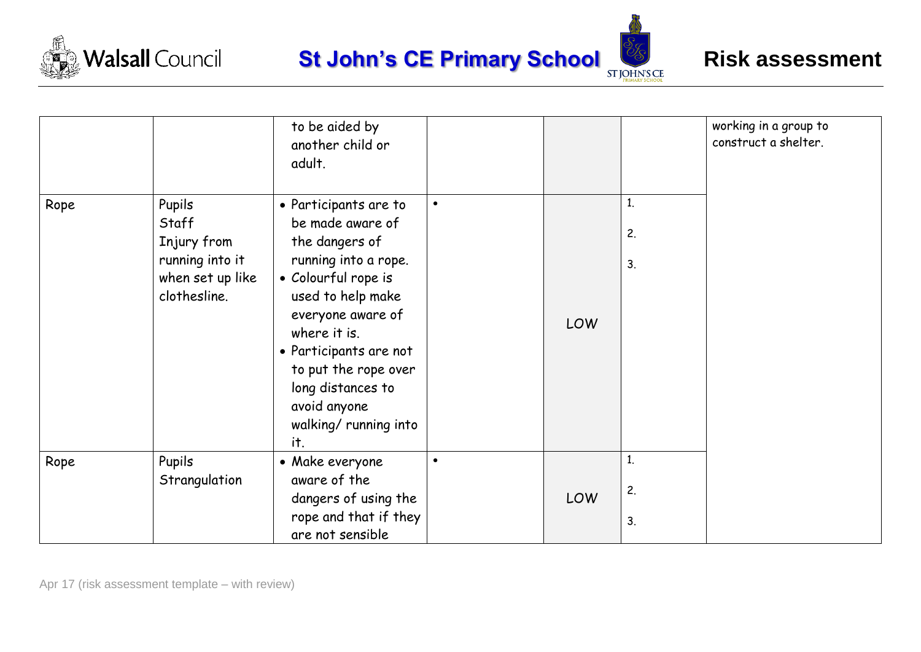





|      |                                                                                       | to be aided by<br>another child or<br>adult.                                                                                                                                                                                                                                                |           |     |                | working in a group to<br>construct a shelter. |
|------|---------------------------------------------------------------------------------------|---------------------------------------------------------------------------------------------------------------------------------------------------------------------------------------------------------------------------------------------------------------------------------------------|-----------|-----|----------------|-----------------------------------------------|
| Rope | Pupils<br>Staff<br>Injury from<br>running into it<br>when set up like<br>clothesline. | • Participants are to<br>be made aware of<br>the dangers of<br>running into a rope.<br>• Colourful rope is<br>used to help make<br>everyone aware of<br>where it is.<br>• Participants are not<br>to put the rope over<br>long distances to<br>avoid anyone<br>walking/ running into<br>it. | $\bullet$ | LOW | 1.<br>2.<br>3. |                                               |
| Rope | Pupils<br>Strangulation                                                               | • Make everyone<br>aware of the<br>dangers of using the<br>rope and that if they<br>are not sensible                                                                                                                                                                                        | $\bullet$ | LOW | 1.<br>2.<br>3. |                                               |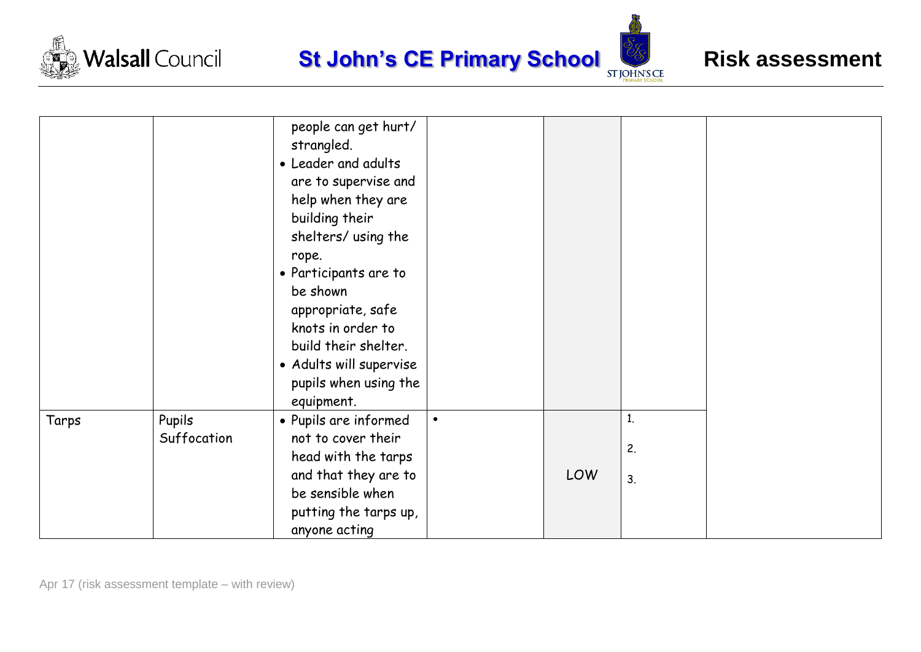





|                 |             | people can get hurt/<br>strangled.<br>• Leader and adults<br>are to supervise and<br>help when they are<br>building their<br>shelters/ using the<br>rope.<br>• Participants are to<br>be shown<br>appropriate, safe<br>knots in order to<br>build their shelter.<br>· Adults will supervise<br>pupils when using the |           |     |          |
|-----------------|-------------|----------------------------------------------------------------------------------------------------------------------------------------------------------------------------------------------------------------------------------------------------------------------------------------------------------------------|-----------|-----|----------|
|                 |             | equipment.                                                                                                                                                                                                                                                                                                           |           |     |          |
| Pupils<br>Tarps | Suffocation | • Pupils are informed<br>not to cover their<br>head with the tarps                                                                                                                                                                                                                                                   | $\bullet$ |     | 1.<br>2. |
|                 |             | and that they are to<br>be sensible when<br>putting the tarps up,<br>anyone acting                                                                                                                                                                                                                                   |           | LOW | 3.       |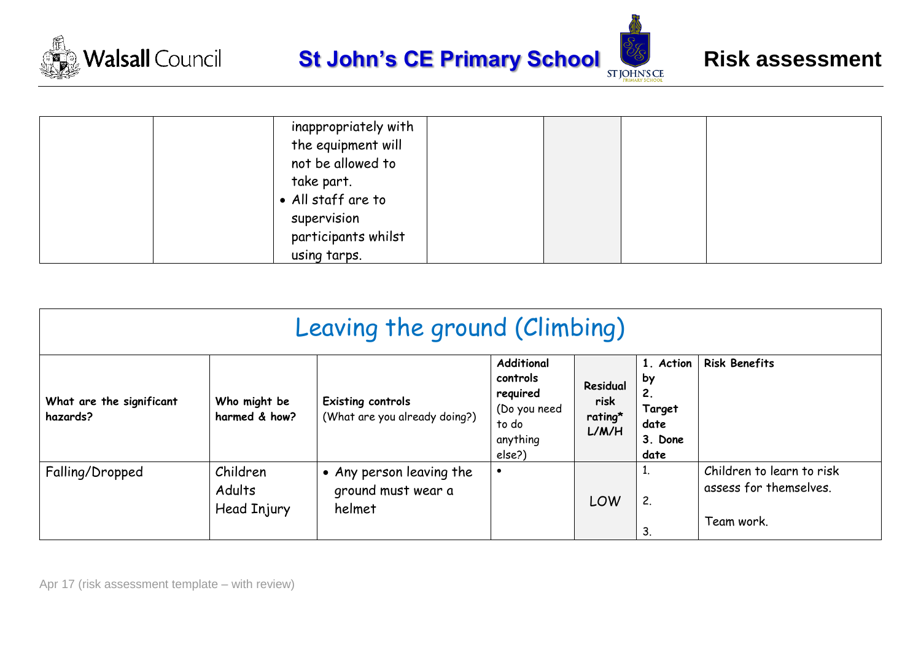





| inappropriately with |  |  |
|----------------------|--|--|
| the equipment will   |  |  |
| not be allowed to    |  |  |
|                      |  |  |
| take part.           |  |  |
| · All staff are to   |  |  |
| supervision          |  |  |
| participants whilst  |  |  |
| using tarps.         |  |  |

| Leaving the ground (Climbing)        |                                   |                                                           |                                                                                          |                                      |                                                            |                                                                   |
|--------------------------------------|-----------------------------------|-----------------------------------------------------------|------------------------------------------------------------------------------------------|--------------------------------------|------------------------------------------------------------|-------------------------------------------------------------------|
| What are the significant<br>hazards? | Who might be<br>harmed & how?     | <b>Existing controls</b><br>(What are you already doing?) | <b>Additional</b><br>controls<br>required<br>(Do you need<br>to do<br>anything<br>else?) | Residual<br>risk<br>rating*<br>L/M/H | 1. Action<br>by<br>2.<br>Target<br>date<br>3. Done<br>date | <b>Risk Benefits</b>                                              |
| Falling/Dropped                      | Children<br>Adults<br>Head Injury | • Any person leaving the<br>ground must wear a<br>helmet  |                                                                                          | <b>LOW</b>                           | Τ.<br>2.<br>3.                                             | Children to learn to risk<br>assess for themselves.<br>Team work. |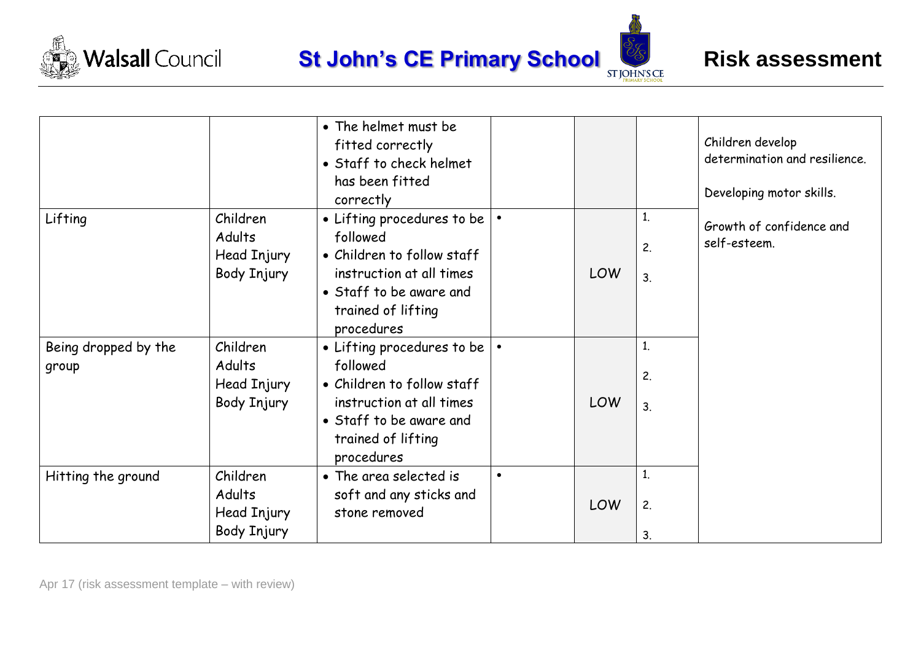





|                               |                                                  | • The helmet must be<br>fitted correctly<br>• Staff to check helmet<br>has been fitted<br>correctly                                                             |     |                | Children develop<br>determination and resilience.<br>Developing motor skills. |
|-------------------------------|--------------------------------------------------|-----------------------------------------------------------------------------------------------------------------------------------------------------------------|-----|----------------|-------------------------------------------------------------------------------|
| Lifting                       | Children<br>Adults<br>Head Injury<br>Body Injury | • Lifting procedures to be<br>followed<br>• Children to follow staff<br>instruction at all times<br>• Staff to be aware and<br>trained of lifting<br>procedures | LOW | 1.<br>2.<br>3. | Growth of confidence and<br>self-esteem.                                      |
| Being dropped by the<br>group | Children<br>Adults<br>Head Injury<br>Body Injury | • Lifting procedures to be<br>followed<br>• Children to follow staff<br>instruction at all times<br>• Staff to be aware and<br>trained of lifting<br>procedures | LOW | 1.<br>2.<br>3. |                                                                               |
| Hitting the ground            | Children<br>Adults<br>Head Injury<br>Body Injury | • The area selected is<br>soft and any sticks and<br>stone removed                                                                                              | LOW | 1.<br>2.<br>3. |                                                                               |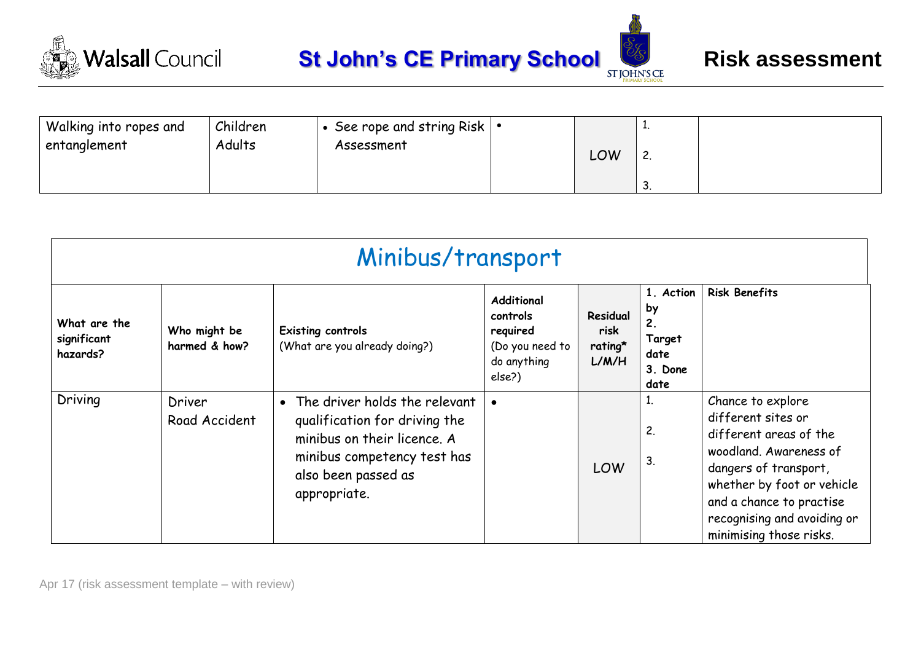





| Walking into ropes and | Children | • See rope and string Risk $  \cdot  $ |     |     |  |
|------------------------|----------|----------------------------------------|-----|-----|--|
| $\mid$ entanglement    | Adults   | Assessment                             | LOW |     |  |
|                        |          |                                        |     | . ٿ |  |

|                                         |                               | Minibus/transport                                                                                                                                                                |                                                                                |                                      |                                                            |                                                                                                                                                                                                                                          |
|-----------------------------------------|-------------------------------|----------------------------------------------------------------------------------------------------------------------------------------------------------------------------------|--------------------------------------------------------------------------------|--------------------------------------|------------------------------------------------------------|------------------------------------------------------------------------------------------------------------------------------------------------------------------------------------------------------------------------------------------|
| What are the<br>significant<br>hazards? | Who might be<br>harmed & how? | Existing controls<br>(What are you already doing?)                                                                                                                               | Additional<br>controls<br>required<br>(Do you need to<br>do anything<br>else?) | Residual<br>risk<br>rating*<br>L/M/H | 1. Action<br>by<br>2.<br>Target<br>date<br>3. Done<br>date | <b>Risk Benefits</b>                                                                                                                                                                                                                     |
| Driving                                 | Driver<br>Road Accident       | The driver holds the relevant<br>$\bullet$<br>qualification for driving the<br>minibus on their licence. A<br>minibus competency test has<br>also been passed as<br>appropriate. | $\bullet$                                                                      | <b>LOW</b>                           | 1.<br>2.<br>3.                                             | Chance to explore<br>different sites or<br>different areas of the<br>woodland. Awareness of<br>dangers of transport,<br>whether by foot or vehicle<br>and a chance to practise<br>recognising and avoiding or<br>minimising those risks. |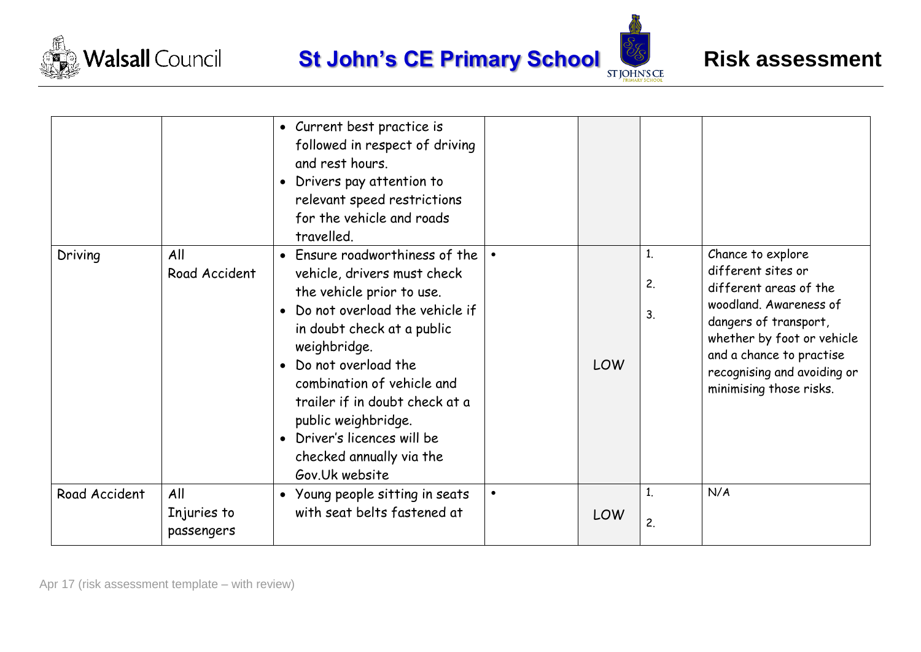





|               |                                  | • Current best practice is<br>followed in respect of driving<br>and rest hours.<br>Drivers pay attention to<br>$\bullet$<br>relevant speed restrictions<br>for the vehicle and roads<br>travelled.                                                                                                                                                                |           |            |                |                                                                                                                                                                                                                                          |
|---------------|----------------------------------|-------------------------------------------------------------------------------------------------------------------------------------------------------------------------------------------------------------------------------------------------------------------------------------------------------------------------------------------------------------------|-----------|------------|----------------|------------------------------------------------------------------------------------------------------------------------------------------------------------------------------------------------------------------------------------------|
| Driving       | All<br>Road Accident             | Ensure roadworthiness of the<br>vehicle, drivers must check<br>the vehicle prior to use.<br>Do not overload the vehicle if<br>in doubt check at a public<br>weighbridge.<br>Do not overload the<br>combination of vehicle and<br>trailer if in doubt check at a<br>public weighbridge.<br>Driver's licences will be<br>checked annually via the<br>Gov.Uk website |           | <b>LOW</b> | 1.<br>2.<br>3. | Chance to explore<br>different sites or<br>different areas of the<br>woodland. Awareness of<br>dangers of transport,<br>whether by foot or vehicle<br>and a chance to practise<br>recognising and avoiding or<br>minimising those risks. |
| Road Accident | All<br>Injuries to<br>passengers | • Young people sitting in seats<br>with seat belts fastened at                                                                                                                                                                                                                                                                                                    | $\bullet$ | LOW        | 1.<br>2.       | N/A                                                                                                                                                                                                                                      |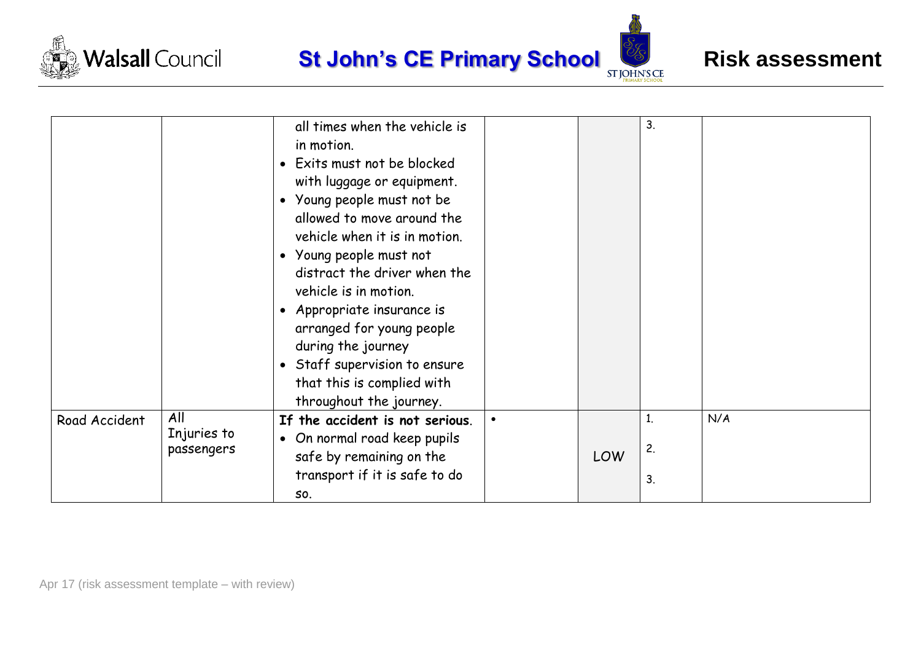





|               |                                  | all times when the vehicle is<br>in motion.<br>• Exits must not be blocked<br>with luggage or equipment.<br>• Young people must not be<br>allowed to move around the<br>vehicle when it is in motion.<br>• Young people must not<br>distract the driver when the<br>vehicle is in motion.<br>• Appropriate insurance is<br>arranged for young people<br>during the journey<br>• Staff supervision to ensure<br>that this is complied with<br>throughout the journey. |     | 3.             |     |
|---------------|----------------------------------|----------------------------------------------------------------------------------------------------------------------------------------------------------------------------------------------------------------------------------------------------------------------------------------------------------------------------------------------------------------------------------------------------------------------------------------------------------------------|-----|----------------|-----|
| Road Accident | All<br>Injuries to<br>passengers | If the accident is not serious.<br>On normal road keep pupils<br>$\bullet$<br>safe by remaining on the<br>transport if it is safe to do<br>S0.                                                                                                                                                                                                                                                                                                                       | LOW | 1.<br>2.<br>3. | N/A |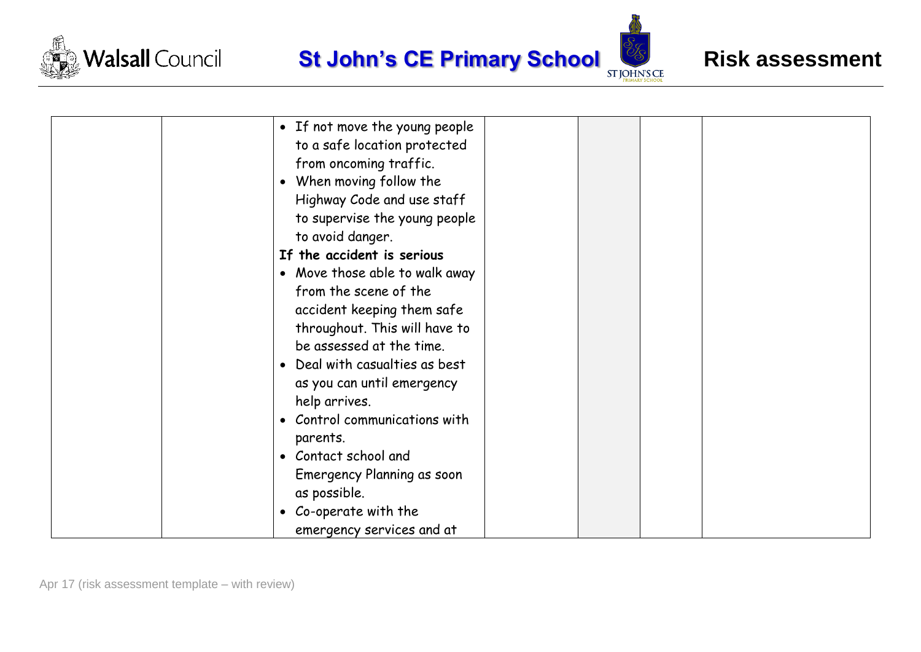





| • If not move the young people |
|--------------------------------|
| to a safe location protected   |
| from oncoming traffic.         |
| • When moving follow the       |
| Highway Code and use staff     |
| to supervise the young people  |
| to avoid danger.               |
| If the accident is serious     |
|                                |
| • Move those able to walk away |
| from the scene of the          |
| accident keeping them safe     |
| throughout. This will have to  |
| be assessed at the time.       |
| • Deal with casualties as best |
| as you can until emergency     |
| help arrives.                  |
| Control communications with    |
| parents.                       |
| • Contact school and           |
| Emergency Planning as soon     |
| as possible.                   |
| • Co-operate with the          |
| emergency services and at      |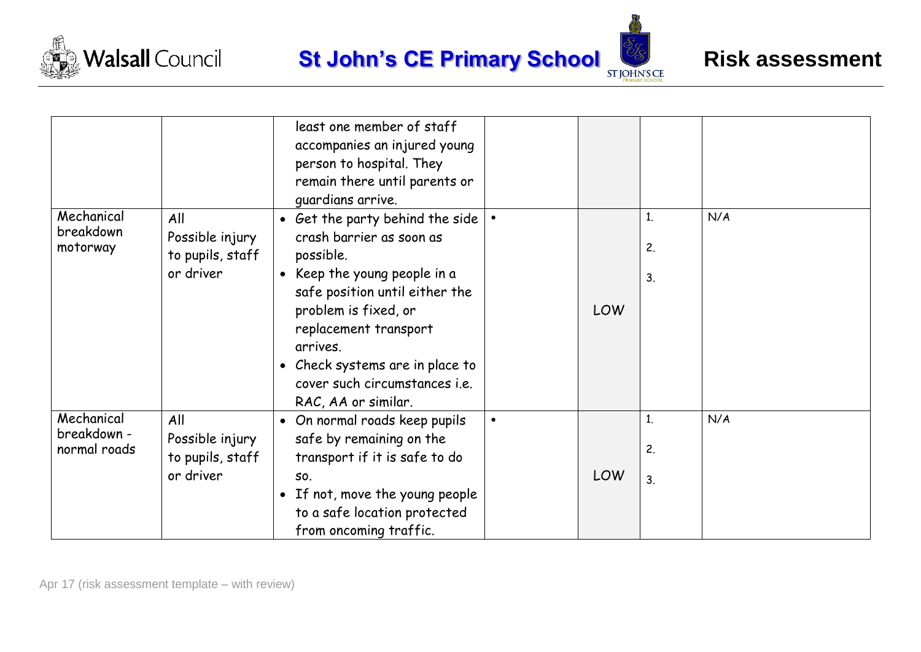





|                                           |                                                         | least one member of staff<br>accompanies an injured young<br>person to hospital. They<br>remain there until parents or<br>guardians arrive.                                                                                                                                                                              |           |            |                |     |
|-------------------------------------------|---------------------------------------------------------|--------------------------------------------------------------------------------------------------------------------------------------------------------------------------------------------------------------------------------------------------------------------------------------------------------------------------|-----------|------------|----------------|-----|
| Mechanical<br>breakdown<br>motorway       | All<br>Possible injury<br>to pupils, staff<br>or driver | • Get the party behind the side<br>crash barrier as soon as<br>possible.<br>Keep the young people in a<br>$\bullet$<br>safe position until either the<br>problem is fixed, or<br>replacement transport<br>arrives.<br>Check systems are in place to<br>$\bullet$<br>cover such circumstances i.e.<br>RAC, AA or similar. |           | <b>LOW</b> | 1.<br>2.<br>3. | N/A |
| Mechanical<br>breakdown -<br>normal roads | All<br>Possible injury<br>to pupils, staff<br>or driver | • On normal roads keep pupils<br>safe by remaining on the<br>transport if it is safe to do<br>SO.<br>If not, move the young people<br>$\bullet$<br>to a safe location protected<br>from oncoming traffic.                                                                                                                | $\bullet$ | LOW        | 1.<br>2.<br>3. | N/A |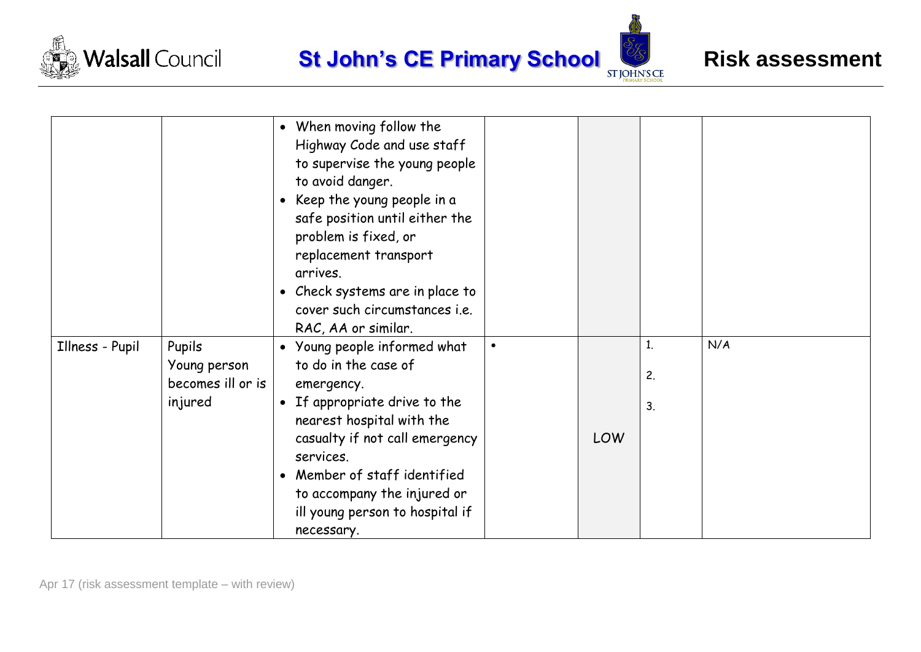





|                 |                                                        | When moving follow the<br>$\bullet$<br>Highway Code and use staff<br>to supervise the young people<br>to avoid danger.<br>Keep the young people in a<br>safe position until either the<br>problem is fixed, or<br>replacement transport<br>arrives.<br>• Check systems are in place to<br>cover such circumstances i.e.<br>RAC, AA or similar. |           |     |                |     |
|-----------------|--------------------------------------------------------|------------------------------------------------------------------------------------------------------------------------------------------------------------------------------------------------------------------------------------------------------------------------------------------------------------------------------------------------|-----------|-----|----------------|-----|
| Illness - Pupil | Pupils<br>Young person<br>becomes ill or is<br>injured | • Young people informed what<br>to do in the case of<br>emergency.<br>If appropriate drive to the<br>$\bullet$<br>nearest hospital with the<br>casualty if not call emergency<br>services.<br>Member of staff identified<br>$\bullet$<br>to accompany the injured or<br>ill young person to hospital if<br>necessary.                          | $\bullet$ | LOW | 1.<br>2.<br>3. | N/A |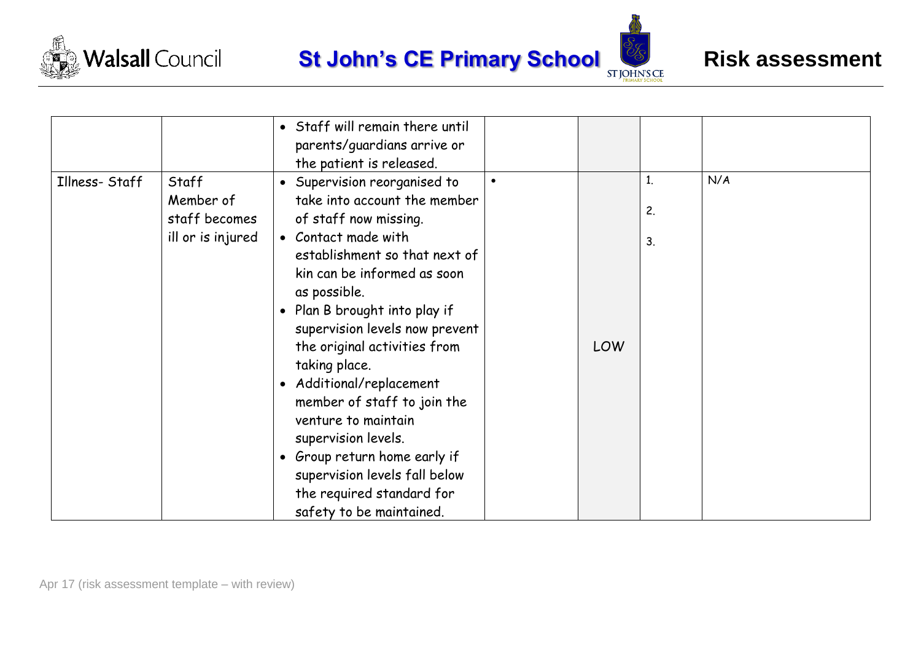



|               |                                                          | • Staff will remain there until<br>parents/guardians arrive or<br>the patient is released.                                                                                                                                                                                                                                                                                                                                                                                                                                                                     |           |     |                |     |
|---------------|----------------------------------------------------------|----------------------------------------------------------------------------------------------------------------------------------------------------------------------------------------------------------------------------------------------------------------------------------------------------------------------------------------------------------------------------------------------------------------------------------------------------------------------------------------------------------------------------------------------------------------|-----------|-----|----------------|-----|
| Illness-Staff | Staff<br>Member of<br>staff becomes<br>ill or is injured | • Supervision reorganised to<br>take into account the member<br>of staff now missing.<br>• Contact made with<br>establishment so that next of<br>kin can be informed as soon<br>as possible.<br>• Plan B brought into play if<br>supervision levels now prevent<br>the original activities from<br>taking place.<br>• Additional/replacement<br>member of staff to join the<br>venture to maintain<br>supervision levels.<br>Group return home early if<br>$\bullet$<br>supervision levels fall below<br>the required standard for<br>safety to be maintained. | $\bullet$ | LOW | 1.<br>2.<br>3. | N/A |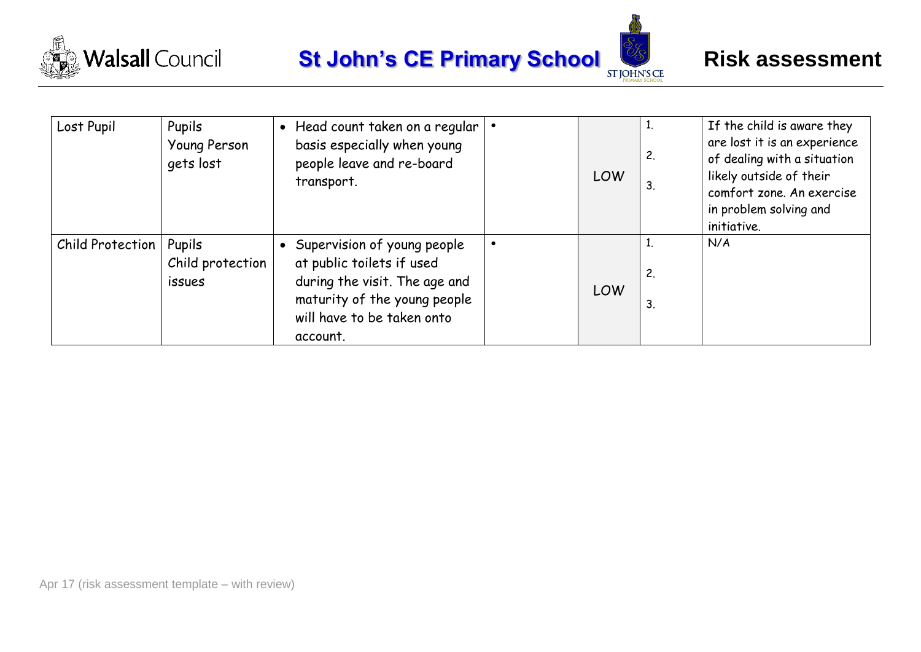





| Lost Pupil       | Pupils<br>Young Person<br>gets lost  | Head count taken on a regular<br>basis especially when young<br>people leave and re-board<br>transport.                                                             | <b>LOW</b> | 1.<br>2.<br>3.                       | If the child is aware they<br>are lost it is an experience<br>of dealing with a situation<br>likely outside of their<br>comfort zone. An exercise<br>in problem solving and<br>initiative. |
|------------------|--------------------------------------|---------------------------------------------------------------------------------------------------------------------------------------------------------------------|------------|--------------------------------------|--------------------------------------------------------------------------------------------------------------------------------------------------------------------------------------------|
| Child Protection | Pupils<br>Child protection<br>issues | Supervision of young people<br>at public toilets if used<br>during the visit. The age and<br>maturity of the young people<br>will have to be taken onto<br>account. | <b>LOW</b> | 1.<br>$\mathbf{2}$<br>3 <sub>1</sub> | N/A                                                                                                                                                                                        |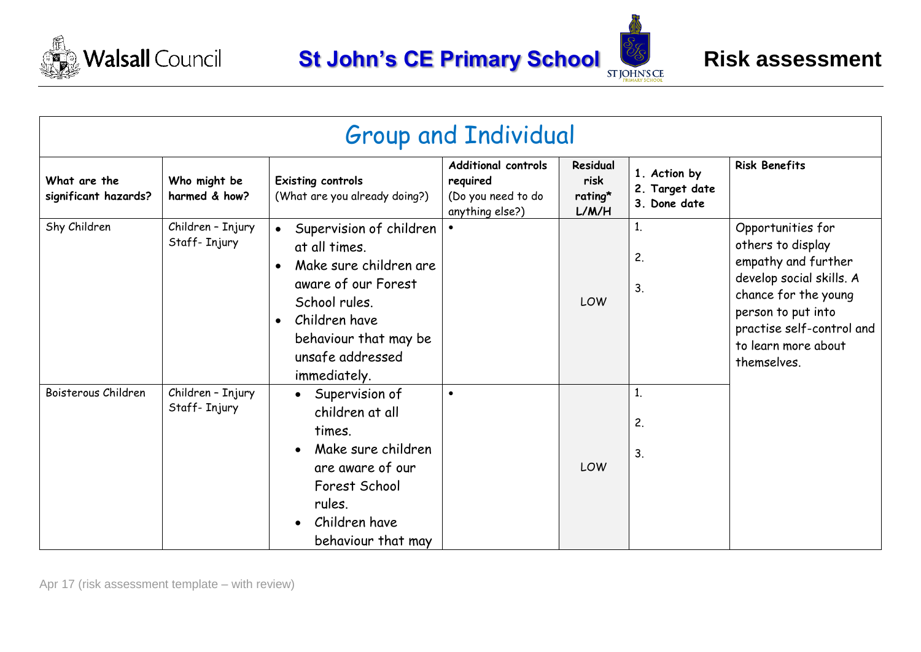





|                                      | <b>Group and Individual</b>        |                                                                                                                                                                                                       |                                                                                 |                                        |                                                   |                                                                                                                                                                                                            |
|--------------------------------------|------------------------------------|-------------------------------------------------------------------------------------------------------------------------------------------------------------------------------------------------------|---------------------------------------------------------------------------------|----------------------------------------|---------------------------------------------------|------------------------------------------------------------------------------------------------------------------------------------------------------------------------------------------------------------|
| What are the<br>significant hazards? | Who might be<br>harmed & how?      | <b>Existing controls</b><br>(What are you already doing?)                                                                                                                                             | <b>Additional controls</b><br>required<br>(Do you need to do<br>anything else?) | Residual<br>risk<br>$rating*$<br>L/M/H | 1. Action by<br>2. Target date<br>Done date<br>3. | <b>Risk Benefits</b>                                                                                                                                                                                       |
| Shy Children                         | Children - Injury<br>Staff-Injury  | Supervision of children<br>$\bullet$<br>at all times.<br>Make sure children are<br>aware of our Forest<br>School rules.<br>Children have<br>behaviour that may be<br>unsafe addressed<br>immediately. |                                                                                 | LOW                                    | 1.<br>2.<br>3.                                    | Opportunities for<br>others to display<br>empathy and further<br>develop social skills. A<br>chance for the young<br>person to put into<br>practise self-control and<br>to learn more about<br>themselves. |
| Boisterous Children                  | Children - Injury<br>Staff- Injury | Supervision of<br>children at all<br>times.<br>Make sure children<br>are aware of our<br>Forest School<br>rules.<br>Children have<br>behaviour that may                                               | $\bullet$                                                                       | LOW                                    | 1.<br>2.<br>3.                                    |                                                                                                                                                                                                            |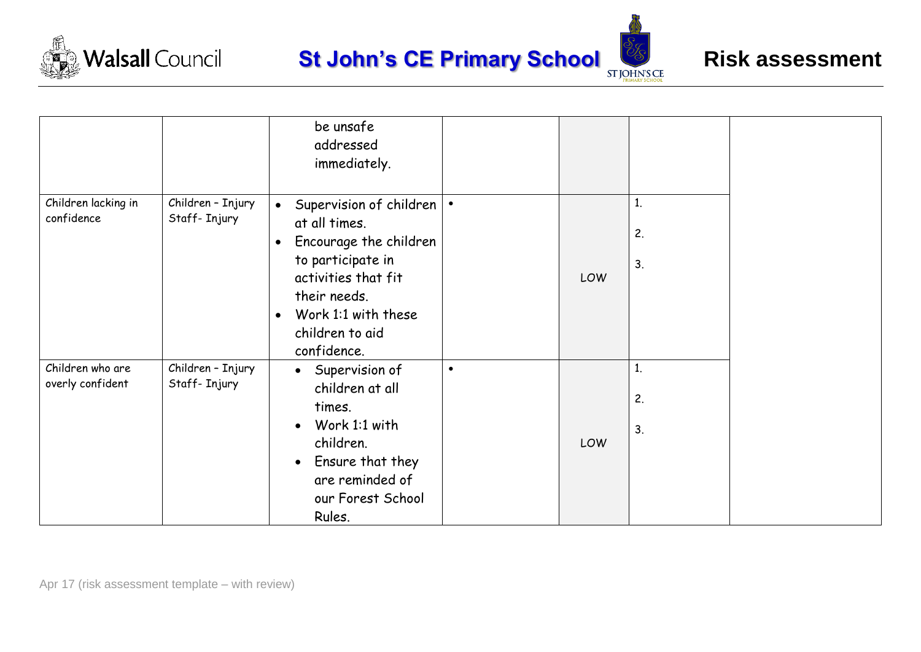





|                                      |                                    | be unsafe<br>addressed<br>immediately.                                                                                                                                                                                                |           |     |                |
|--------------------------------------|------------------------------------|---------------------------------------------------------------------------------------------------------------------------------------------------------------------------------------------------------------------------------------|-----------|-----|----------------|
| Children lacking in<br>confidence    | Children - Injury<br>Staff- Injury | Supervision of children $\vert \cdot \vert$<br>$\bullet$<br>at all times.<br>Encourage the children<br>to participate in<br>activities that fit<br>their needs.<br>Work 1:1 with these<br>$\bullet$<br>children to aid<br>confidence. |           | LOW | 1.<br>2.<br>3. |
| Children who are<br>overly confident | Children - Injury<br>Staff- Injury | Supervision of<br>$\bullet$<br>children at all<br>times.<br>Work 1:1 with<br>children.<br>Ensure that they<br>$\bullet$<br>are reminded of<br>our Forest School<br>Rules.                                                             | $\bullet$ | LOW | 1.<br>2.<br>3. |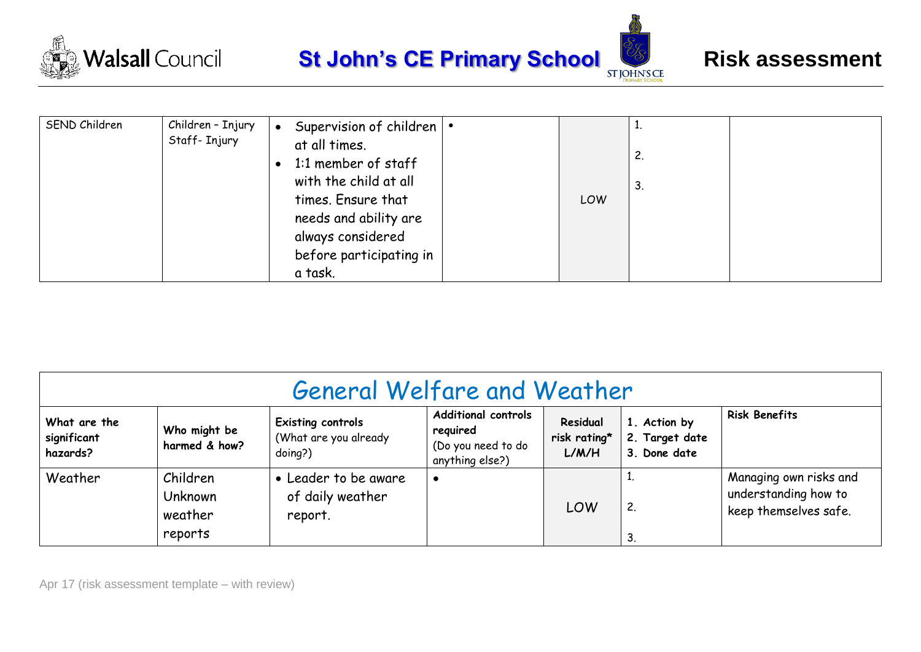





| SEND Children | Children - Injury<br>Staff- Injury | Supervision of children   •<br>$\bullet$ |     | ٠. |  |
|---------------|------------------------------------|------------------------------------------|-----|----|--|
|               |                                    | at all times.                            |     | 2. |  |
|               |                                    | 1:1 member of staff                      |     |    |  |
|               |                                    | with the child at all                    |     | ು. |  |
|               |                                    | times. Ensure that                       | LOW |    |  |
|               |                                    | needs and ability are                    |     |    |  |
|               |                                    | always considered                        |     |    |  |
|               |                                    | before participating in                  |     |    |  |
|               |                                    | a task.                                  |     |    |  |

| <b>General Welfare and Weather</b>      |                                           |                                                              |                                                                                 |                                   |                                                |                                                                         |
|-----------------------------------------|-------------------------------------------|--------------------------------------------------------------|---------------------------------------------------------------------------------|-----------------------------------|------------------------------------------------|-------------------------------------------------------------------------|
| What are the<br>significant<br>hazards? | Who might be<br>harmed & how?             | <b>Existing controls</b><br>(What are you already<br>doing?) | <b>Additional controls</b><br>required<br>(Do you need to do<br>anything else?) | Residual<br>risk rating*<br>L/M/H | 1. Action by<br>2. Target date<br>3. Done date | <b>Risk Benefits</b>                                                    |
| Weather                                 | Children<br>Unknown<br>weather<br>reports | • Leader to be aware<br>of daily weather<br>report.          |                                                                                 | LOW                               | 2.<br>3.                                       | Managing own risks and<br>understanding how to<br>keep themselves safe. |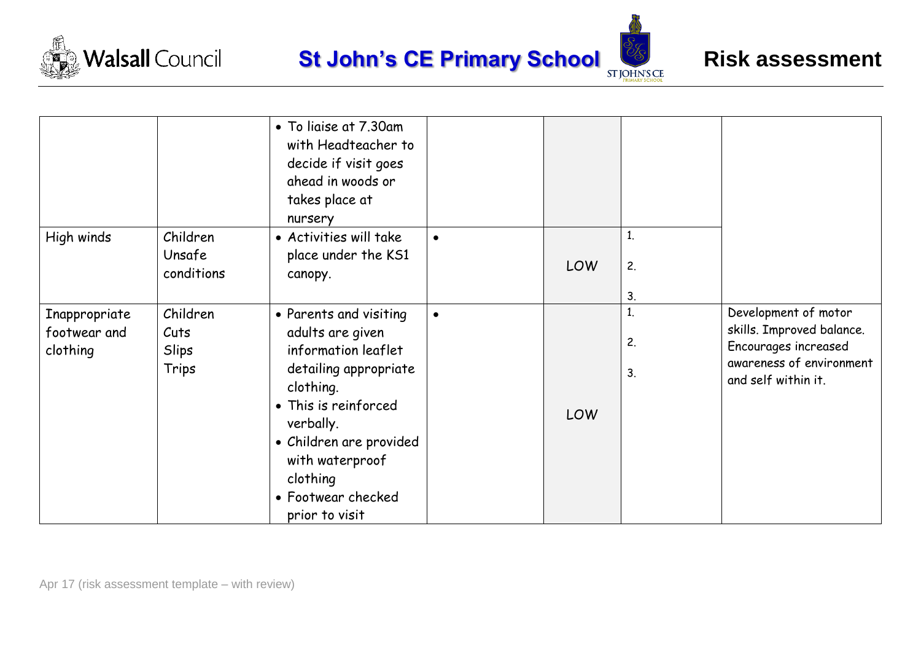





|                                           |                                    | • To liaise at 7.30am<br>with Headteacher to<br>decide if visit goes<br>ahead in woods or<br>takes place at<br>nursery                                                                                                                         |           |            |                |                                                                                                                              |
|-------------------------------------------|------------------------------------|------------------------------------------------------------------------------------------------------------------------------------------------------------------------------------------------------------------------------------------------|-----------|------------|----------------|------------------------------------------------------------------------------------------------------------------------------|
| High winds                                | Children<br>Unsafe<br>conditions   | • Activities will take<br>place under the KS1<br>canopy.                                                                                                                                                                                       | $\bullet$ | <b>LOW</b> | 1.<br>2.<br>3. |                                                                                                                              |
| Inappropriate<br>footwear and<br>clothing | Children<br>Cuts<br>Slips<br>Trips | • Parents and visiting<br>adults are given<br>information leaflet<br>detailing appropriate<br>clothing.<br>• This is reinforced<br>verbally.<br>• Children are provided<br>with waterproof<br>clothing<br>• Footwear checked<br>prior to visit | $\bullet$ | <b>LOW</b> | 1.<br>2.<br>3. | Development of motor<br>skills. Improved balance.<br>Encourages increased<br>awareness of environment<br>and self within it. |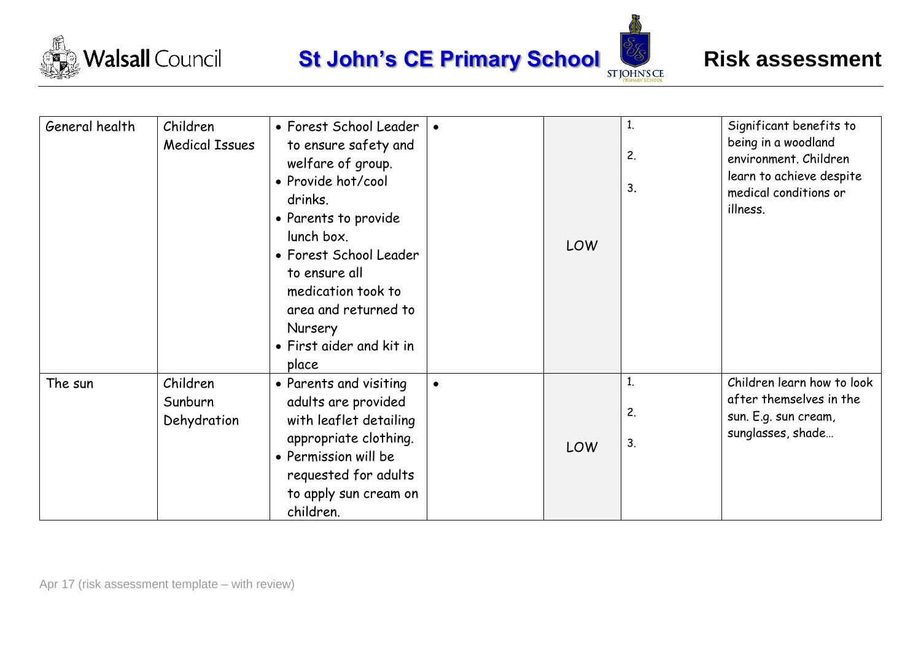





| General health | Children<br><b>Medical Issues</b>  | • Forest School Leader  <br>to ensure safety and<br>welfare of group.<br>• Provide hot/cool<br>drinks.<br>• Parents to provide<br>lunch box.<br>• Forest School Leader<br>to ensure all<br>medication took to<br>area and returned to<br>Nursery<br>• First aider and kit in<br>place | LOW | 1.<br>2.<br>3. | Significant benefits to<br>being in a woodland<br>environment. Children<br>learn to achieve despite<br>medical conditions or<br>illness. |
|----------------|------------------------------------|---------------------------------------------------------------------------------------------------------------------------------------------------------------------------------------------------------------------------------------------------------------------------------------|-----|----------------|------------------------------------------------------------------------------------------------------------------------------------------|
| The sun        | Children<br>Sunburn<br>Dehydration | • Parents and visiting<br>adults are provided<br>with leaflet detailing<br>appropriate clothing.<br>• Permission will be<br>requested for adults<br>to apply sun cream on<br>children.                                                                                                | LOW | 1.<br>2.<br>3. | Children learn how to look<br>after themselves in the<br>sun. E.g. sun cream,<br>sunglasses, shade                                       |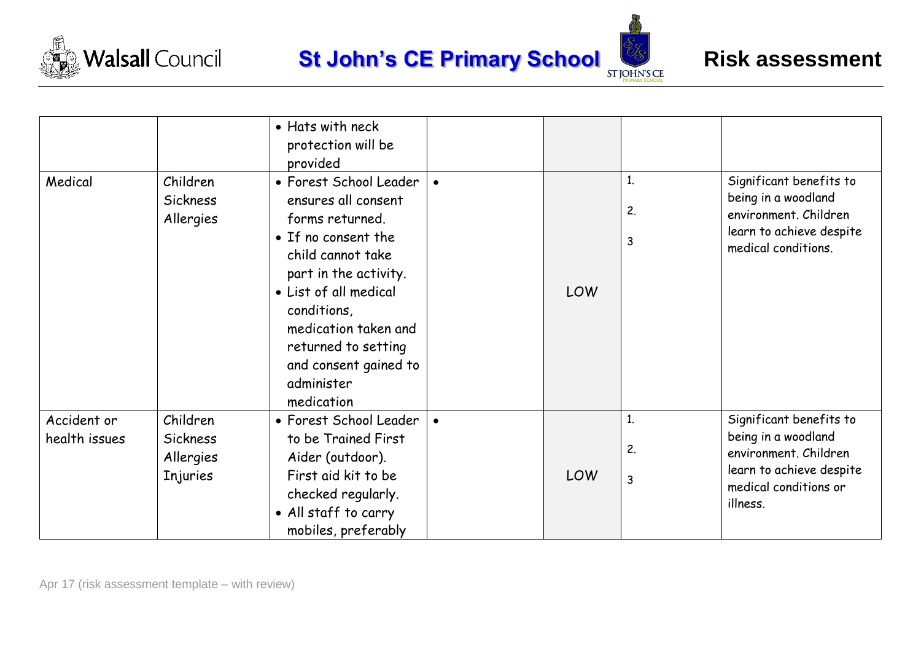





|                              |                                                      | • Hats with neck<br>protection will be<br>provided                                                                                                                                                                                                                                |           |     |               |                                                                                                                                          |
|------------------------------|------------------------------------------------------|-----------------------------------------------------------------------------------------------------------------------------------------------------------------------------------------------------------------------------------------------------------------------------------|-----------|-----|---------------|------------------------------------------------------------------------------------------------------------------------------------------|
| Medical                      | Children<br><b>Sickness</b><br>Allergies             | • Forest School Leader<br>ensures all consent<br>forms returned.<br>• If no consent the<br>child cannot take<br>part in the activity.<br>• List of all medical<br>conditions,<br>medication taken and<br>returned to setting<br>and consent gained to<br>administer<br>medication | $\bullet$ | LOW | 1.<br>2.<br>3 | Significant benefits to<br>being in a woodland<br>environment. Children<br>learn to achieve despite<br>medical conditions.               |
| Accident or<br>health issues | Children<br><b>Sickness</b><br>Allergies<br>Injuries | • Forest School Leader<br>to be Trained First<br>Aider (outdoor).<br>First aid kit to be<br>checked regularly.<br>• All staff to carry<br>mobiles, preferably                                                                                                                     | $\bullet$ | LOW | 1.<br>2.<br>3 | Significant benefits to<br>being in a woodland<br>environment. Children<br>learn to achieve despite<br>medical conditions or<br>illness. |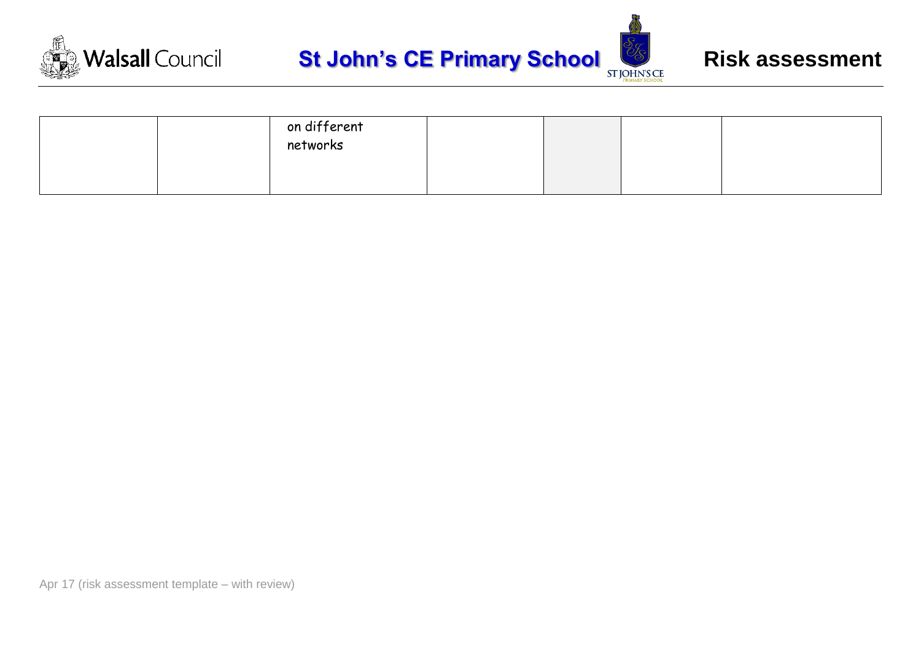



|  | on different<br>networks |  |  |
|--|--------------------------|--|--|
|  |                          |  |  |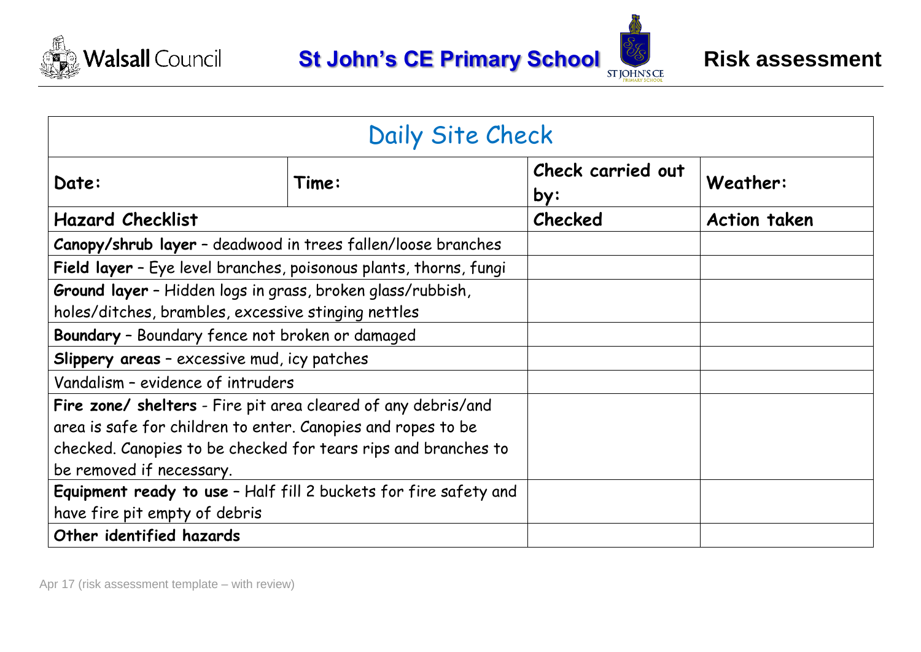





| Daily Site Check                                                                                                                                                                                                            |                               |         |                     |  |  |  |  |
|-----------------------------------------------------------------------------------------------------------------------------------------------------------------------------------------------------------------------------|-------------------------------|---------|---------------------|--|--|--|--|
| Check carried out<br>Time:<br>Date:<br>by:                                                                                                                                                                                  |                               |         | Weather:            |  |  |  |  |
| <b>Hazard Checklist</b>                                                                                                                                                                                                     |                               | Checked | <b>Action taken</b> |  |  |  |  |
| Canopy/shrub layer - deadwood in trees fallen/loose branches                                                                                                                                                                |                               |         |                     |  |  |  |  |
| Field layer - Eye level branches, poisonous plants, thorns, fungi                                                                                                                                                           |                               |         |                     |  |  |  |  |
| Ground layer - Hidden logs in grass, broken glass/rubbish,<br>holes/ditches, brambles, excessive stinging nettles                                                                                                           |                               |         |                     |  |  |  |  |
| Boundary - Boundary fence not broken or damaged                                                                                                                                                                             |                               |         |                     |  |  |  |  |
| <b>Slippery areas - excessive mud, icy patches</b>                                                                                                                                                                          |                               |         |                     |  |  |  |  |
| Vandalism - evidence of intruders                                                                                                                                                                                           |                               |         |                     |  |  |  |  |
| Fire zone/ shelters - Fire pit area cleared of any debris/and<br>area is safe for children to enter. Canopies and ropes to be<br>checked. Canopies to be checked for tears rips and branches to<br>be removed if necessary. |                               |         |                     |  |  |  |  |
| Equipment ready to use - Half fill 2 buckets for fire safety and                                                                                                                                                            |                               |         |                     |  |  |  |  |
| Other identified hazards                                                                                                                                                                                                    | have fire pit empty of debris |         |                     |  |  |  |  |